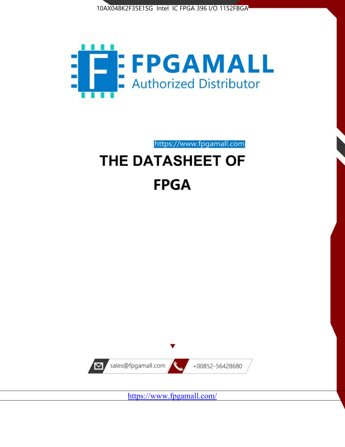10AX048K2F35E1SG Intel IC FPGA 396 I/O 1152FBGA



https://www.fpgamall.com THE DATASHEET OF

# **FPGA**



<https://www.fpgamall.com/>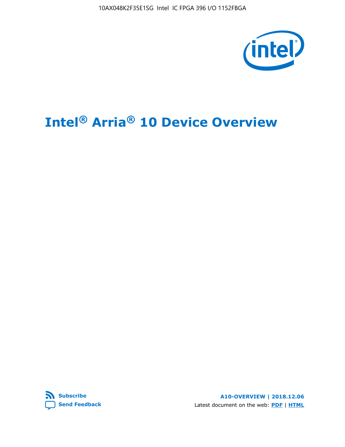10AX048K2F35E1SG Intel IC FPGA 396 I/O 1152FBGA



# **Intel® Arria® 10 Device Overview**



**A10-OVERVIEW | 2018.12.06** Latest document on the web: **[PDF](https://www.intel.com/content/dam/www/programmable/us/en/pdfs/literature/hb/arria-10/a10_overview.pdf)** | **[HTML](https://www.intel.com/content/www/us/en/programmable/documentation/sam1403480274650.html)**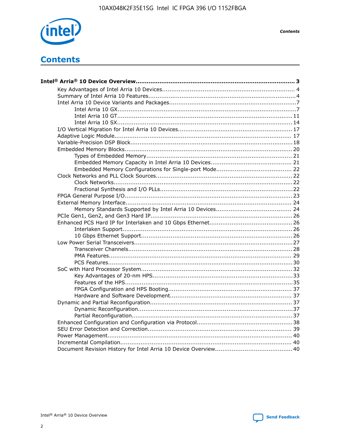

**Contents** 

# **Contents**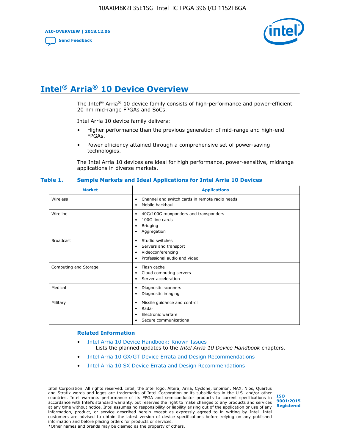**A10-OVERVIEW | 2018.12.06**

**[Send Feedback](mailto:FPGAtechdocfeedback@intel.com?subject=Feedback%20on%20Intel%20Arria%2010%20Device%20Overview%20(A10-OVERVIEW%202018.12.06)&body=We%20appreciate%20your%20feedback.%20In%20your%20comments,%20also%20specify%20the%20page%20number%20or%20paragraph.%20Thank%20you.)**



# **Intel® Arria® 10 Device Overview**

The Intel<sup>®</sup> Arria<sup>®</sup> 10 device family consists of high-performance and power-efficient 20 nm mid-range FPGAs and SoCs.

Intel Arria 10 device family delivers:

- Higher performance than the previous generation of mid-range and high-end FPGAs.
- Power efficiency attained through a comprehensive set of power-saving technologies.

The Intel Arria 10 devices are ideal for high performance, power-sensitive, midrange applications in diverse markets.

| <b>Market</b>         | <b>Applications</b>                                                                                               |
|-----------------------|-------------------------------------------------------------------------------------------------------------------|
| Wireless              | Channel and switch cards in remote radio heads<br>٠<br>Mobile backhaul<br>٠                                       |
| Wireline              | 40G/100G muxponders and transponders<br>٠<br>100G line cards<br>٠<br><b>Bridging</b><br>٠<br>Aggregation<br>٠     |
| <b>Broadcast</b>      | Studio switches<br>٠<br>Servers and transport<br>٠<br>Videoconferencing<br>٠<br>Professional audio and video<br>٠ |
| Computing and Storage | Flash cache<br>٠<br>Cloud computing servers<br>٠<br>Server acceleration<br>٠                                      |
| Medical               | Diagnostic scanners<br>٠<br>Diagnostic imaging<br>٠                                                               |
| Military              | Missile guidance and control<br>٠<br>Radar<br>٠<br>Electronic warfare<br>٠<br>Secure communications<br>٠          |

#### **Table 1. Sample Markets and Ideal Applications for Intel Arria 10 Devices**

#### **Related Information**

- [Intel Arria 10 Device Handbook: Known Issues](http://www.altera.com/support/kdb/solutions/rd07302013_646.html) Lists the planned updates to the *Intel Arria 10 Device Handbook* chapters.
- [Intel Arria 10 GX/GT Device Errata and Design Recommendations](https://www.intel.com/content/www/us/en/programmable/documentation/agz1493851706374.html#yqz1494433888646)
- [Intel Arria 10 SX Device Errata and Design Recommendations](https://www.intel.com/content/www/us/en/programmable/documentation/cru1462832385668.html#cru1462832558642)

Intel Corporation. All rights reserved. Intel, the Intel logo, Altera, Arria, Cyclone, Enpirion, MAX, Nios, Quartus and Stratix words and logos are trademarks of Intel Corporation or its subsidiaries in the U.S. and/or other countries. Intel warrants performance of its FPGA and semiconductor products to current specifications in accordance with Intel's standard warranty, but reserves the right to make changes to any products and services at any time without notice. Intel assumes no responsibility or liability arising out of the application or use of any information, product, or service described herein except as expressly agreed to in writing by Intel. Intel customers are advised to obtain the latest version of device specifications before relying on any published information and before placing orders for products or services. \*Other names and brands may be claimed as the property of others.

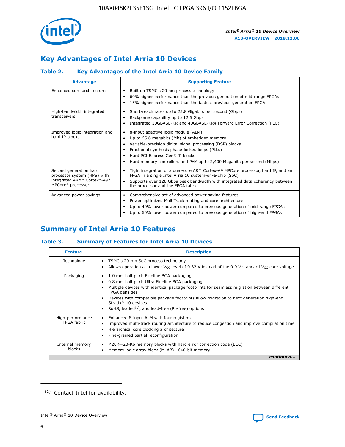

# **Key Advantages of Intel Arria 10 Devices**

## **Table 2. Key Advantages of the Intel Arria 10 Device Family**

| <b>Advantage</b>                                                                                          | <b>Supporting Feature</b>                                                                                                                                                                                                                                                                                                |
|-----------------------------------------------------------------------------------------------------------|--------------------------------------------------------------------------------------------------------------------------------------------------------------------------------------------------------------------------------------------------------------------------------------------------------------------------|
| Enhanced core architecture                                                                                | Built on TSMC's 20 nm process technology<br>٠<br>60% higher performance than the previous generation of mid-range FPGAs<br>٠<br>15% higher performance than the fastest previous-generation FPGA<br>٠                                                                                                                    |
| High-bandwidth integrated<br>transceivers                                                                 | Short-reach rates up to 25.8 Gigabits per second (Gbps)<br>٠<br>Backplane capability up to 12.5 Gbps<br>٠<br>Integrated 10GBASE-KR and 40GBASE-KR4 Forward Error Correction (FEC)<br>٠                                                                                                                                   |
| Improved logic integration and<br>hard IP blocks                                                          | 8-input adaptive logic module (ALM)<br>٠<br>Up to 65.6 megabits (Mb) of embedded memory<br>٠<br>Variable-precision digital signal processing (DSP) blocks<br>Fractional synthesis phase-locked loops (PLLs)<br>Hard PCI Express Gen3 IP blocks<br>Hard memory controllers and PHY up to 2,400 Megabits per second (Mbps) |
| Second generation hard<br>processor system (HPS) with<br>integrated ARM* Cortex*-A9*<br>MPCore* processor | Tight integration of a dual-core ARM Cortex-A9 MPCore processor, hard IP, and an<br>٠<br>FPGA in a single Intel Arria 10 system-on-a-chip (SoC)<br>Supports over 128 Gbps peak bandwidth with integrated data coherency between<br>$\bullet$<br>the processor and the FPGA fabric                                        |
| Advanced power savings                                                                                    | Comprehensive set of advanced power saving features<br>٠<br>Power-optimized MultiTrack routing and core architecture<br>٠<br>Up to 40% lower power compared to previous generation of mid-range FPGAs<br>Up to 60% lower power compared to previous generation of high-end FPGAs                                         |

# **Summary of Intel Arria 10 Features**

## **Table 3. Summary of Features for Intel Arria 10 Devices**

| <b>Feature</b>                  | <b>Description</b>                                                                                                                                                                                                                                                                                                                                                                                           |
|---------------------------------|--------------------------------------------------------------------------------------------------------------------------------------------------------------------------------------------------------------------------------------------------------------------------------------------------------------------------------------------------------------------------------------------------------------|
| Technology                      | TSMC's 20-nm SoC process technology<br>٠<br>Allows operation at a lower $V_{CC}$ level of 0.82 V instead of the 0.9 V standard $V_{CC}$ core voltage                                                                                                                                                                                                                                                         |
| Packaging                       | 1.0 mm ball-pitch Fineline BGA packaging<br>٠<br>0.8 mm ball-pitch Ultra Fineline BGA packaging<br>Multiple devices with identical package footprints for seamless migration between different<br><b>FPGA</b> densities<br>Devices with compatible package footprints allow migration to next generation high-end<br>Stratix <sup>®</sup> 10 devices<br>RoHS, leaded $(1)$ , and lead-free (Pb-free) options |
| High-performance<br>FPGA fabric | Enhanced 8-input ALM with four registers<br>Improved multi-track routing architecture to reduce congestion and improve compilation time<br>Hierarchical core clocking architecture<br>Fine-grained partial reconfiguration                                                                                                                                                                                   |
| Internal memory<br>blocks       | M20K-20-Kb memory blocks with hard error correction code (ECC)<br>٠<br>Memory logic array block (MLAB)-640-bit memory                                                                                                                                                                                                                                                                                        |
|                                 | continued                                                                                                                                                                                                                                                                                                                                                                                                    |



<sup>(1)</sup> Contact Intel for availability.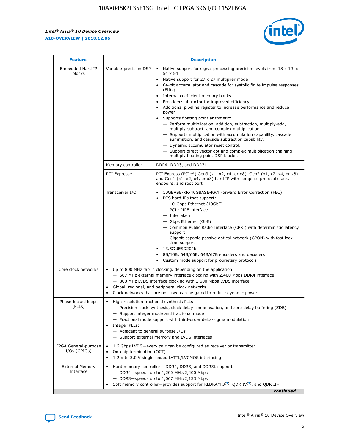$\mathsf{r}$ 



| <b>Feature</b>                         |                                                                                                                | <b>Description</b>                                                                                                                                                                                                                                                                                                                                                                                                                                                                                                                                                                                                                                                                                                                                                                                                                          |
|----------------------------------------|----------------------------------------------------------------------------------------------------------------|---------------------------------------------------------------------------------------------------------------------------------------------------------------------------------------------------------------------------------------------------------------------------------------------------------------------------------------------------------------------------------------------------------------------------------------------------------------------------------------------------------------------------------------------------------------------------------------------------------------------------------------------------------------------------------------------------------------------------------------------------------------------------------------------------------------------------------------------|
| Embedded Hard IP<br>blocks             | Variable-precision DSP                                                                                         | Native support for signal processing precision levels from $18 \times 19$ to<br>$\bullet$<br>54 x 54<br>Native support for 27 x 27 multiplier mode<br>64-bit accumulator and cascade for systolic finite impulse responses<br>(FIRs)<br>Internal coefficient memory banks<br>٠<br>Preadder/subtractor for improved efficiency<br>Additional pipeline register to increase performance and reduce<br>power<br>Supports floating point arithmetic:<br>- Perform multiplication, addition, subtraction, multiply-add,<br>multiply-subtract, and complex multiplication.<br>- Supports multiplication with accumulation capability, cascade<br>summation, and cascade subtraction capability.<br>- Dynamic accumulator reset control.<br>- Support direct vector dot and complex multiplication chaining<br>multiply floating point DSP blocks. |
|                                        | Memory controller                                                                                              | DDR4, DDR3, and DDR3L                                                                                                                                                                                                                                                                                                                                                                                                                                                                                                                                                                                                                                                                                                                                                                                                                       |
|                                        | PCI Express*                                                                                                   | PCI Express (PCIe*) Gen3 (x1, x2, x4, or x8), Gen2 (x1, x2, x4, or x8)<br>and Gen1 (x1, x2, x4, or x8) hard IP with complete protocol stack,<br>endpoint, and root port                                                                                                                                                                                                                                                                                                                                                                                                                                                                                                                                                                                                                                                                     |
|                                        | Transceiver I/O                                                                                                | 10GBASE-KR/40GBASE-KR4 Forward Error Correction (FEC)<br>PCS hard IPs that support:<br>- 10-Gbps Ethernet (10GbE)<br>- PCIe PIPE interface<br>- Interlaken<br>- Gbps Ethernet (GbE)<br>- Common Public Radio Interface (CPRI) with deterministic latency<br>support<br>- Gigabit-capable passive optical network (GPON) with fast lock-<br>time support<br>13.5G JESD204b<br>$\bullet$<br>8B/10B, 64B/66B, 64B/67B encoders and decoders<br>Custom mode support for proprietary protocols                                                                                                                                                                                                                                                                                                                                                   |
| Core clock networks                    | $\bullet$<br>$\bullet$                                                                                         | Up to 800 MHz fabric clocking, depending on the application:<br>- 667 MHz external memory interface clocking with 2,400 Mbps DDR4 interface<br>- 800 MHz LVDS interface clocking with 1,600 Mbps LVDS interface<br>Global, regional, and peripheral clock networks<br>Clock networks that are not used can be gated to reduce dynamic power                                                                                                                                                                                                                                                                                                                                                                                                                                                                                                 |
| Phase-locked loops<br>(PLLs)           | High-resolution fractional synthesis PLLs:<br>$\bullet$<br>Integer PLLs:<br>- Adjacent to general purpose I/Os | - Precision clock synthesis, clock delay compensation, and zero delay buffering (ZDB)<br>- Support integer mode and fractional mode<br>- Fractional mode support with third-order delta-sigma modulation<br>- Support external memory and LVDS interfaces                                                                                                                                                                                                                                                                                                                                                                                                                                                                                                                                                                                   |
| FPGA General-purpose<br>$I/Os$ (GPIOs) | On-chip termination (OCT)<br>$\bullet$                                                                         | 1.6 Gbps LVDS-every pair can be configured as receiver or transmitter<br>1.2 V to 3.0 V single-ended LVTTL/LVCMOS interfacing                                                                                                                                                                                                                                                                                                                                                                                                                                                                                                                                                                                                                                                                                                               |
| <b>External Memory</b><br>Interface    |                                                                                                                | Hard memory controller- DDR4, DDR3, and DDR3L support<br>$-$ DDR4-speeds up to 1,200 MHz/2,400 Mbps<br>- DDR3-speeds up to 1,067 MHz/2,133 Mbps<br>Soft memory controller—provides support for RLDRAM $3^{(2)}$ , QDR IV $(2^2)$ , and QDR II+<br>continued                                                                                                                                                                                                                                                                                                                                                                                                                                                                                                                                                                                 |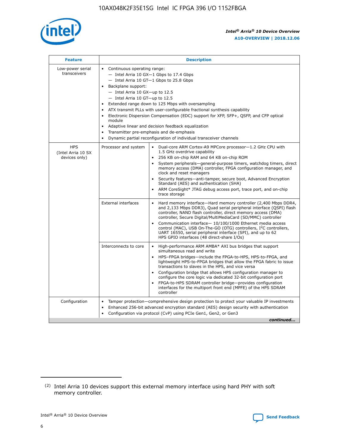

| <b>Feature</b>                                    | <b>Description</b>                                                                                                                                                                                                                                                                                                                                                                                                                                                                                                                                                                                                                           |  |  |  |  |  |  |  |
|---------------------------------------------------|----------------------------------------------------------------------------------------------------------------------------------------------------------------------------------------------------------------------------------------------------------------------------------------------------------------------------------------------------------------------------------------------------------------------------------------------------------------------------------------------------------------------------------------------------------------------------------------------------------------------------------------------|--|--|--|--|--|--|--|
| Low-power serial<br>transceivers                  | • Continuous operating range:<br>- Intel Arria 10 GX-1 Gbps to 17.4 Gbps<br>- Intel Arria 10 GT-1 Gbps to 25.8 Gbps<br>Backplane support:<br>$-$ Intel Arria 10 GX-up to 12.5<br>$-$ Intel Arria 10 GT-up to 12.5<br>Extended range down to 125 Mbps with oversampling<br>ATX transmit PLLs with user-configurable fractional synthesis capability<br>Electronic Dispersion Compensation (EDC) support for XFP, SFP+, QSFP, and CFP optical<br>module<br>• Adaptive linear and decision feedback equalization<br>Transmitter pre-emphasis and de-emphasis<br>$\bullet$<br>Dynamic partial reconfiguration of individual transceiver channels |  |  |  |  |  |  |  |
| <b>HPS</b><br>(Intel Arria 10 SX<br>devices only) | Dual-core ARM Cortex-A9 MPCore processor-1.2 GHz CPU with<br>Processor and system<br>$\bullet$<br>1.5 GHz overdrive capability<br>256 KB on-chip RAM and 64 KB on-chip ROM<br>System peripherals-general-purpose timers, watchdog timers, direct<br>memory access (DMA) controller, FPGA configuration manager, and<br>clock and reset managers<br>Security features-anti-tamper, secure boot, Advanced Encryption<br>$\bullet$<br>Standard (AES) and authentication (SHA)<br>ARM CoreSight* JTAG debug access port, trace port, and on-chip<br>trace storage                                                                                |  |  |  |  |  |  |  |
|                                                   | <b>External interfaces</b><br>Hard memory interface-Hard memory controller (2,400 Mbps DDR4,<br>$\bullet$<br>and 2,133 Mbps DDR3), Quad serial peripheral interface (QSPI) flash<br>controller, NAND flash controller, direct memory access (DMA)<br>controller, Secure Digital/MultiMediaCard (SD/MMC) controller<br>Communication interface-10/100/1000 Ethernet media access<br>$\bullet$<br>control (MAC), USB On-The-GO (OTG) controllers, I <sup>2</sup> C controllers,<br>UART 16550, serial peripheral interface (SPI), and up to 62<br>HPS GPIO interfaces (48 direct-share I/Os)                                                   |  |  |  |  |  |  |  |
|                                                   | High-performance ARM AMBA* AXI bus bridges that support<br>Interconnects to core<br>$\bullet$<br>simultaneous read and write<br>HPS-FPGA bridges-include the FPGA-to-HPS, HPS-to-FPGA, and<br>$\bullet$<br>lightweight HPS-to-FPGA bridges that allow the FPGA fabric to issue<br>transactions to slaves in the HPS, and vice versa<br>Configuration bridge that allows HPS configuration manager to<br>configure the core logic via dedicated 32-bit configuration port<br>FPGA-to-HPS SDRAM controller bridge-provides configuration<br>interfaces for the multiport front end (MPFE) of the HPS SDRAM<br>controller                       |  |  |  |  |  |  |  |
| Configuration                                     | Tamper protection—comprehensive design protection to protect your valuable IP investments<br>Enhanced 256-bit advanced encryption standard (AES) design security with authentication<br>٠<br>Configuration via protocol (CvP) using PCIe Gen1, Gen2, or Gen3<br>continued                                                                                                                                                                                                                                                                                                                                                                    |  |  |  |  |  |  |  |

<sup>(2)</sup> Intel Arria 10 devices support this external memory interface using hard PHY with soft memory controller.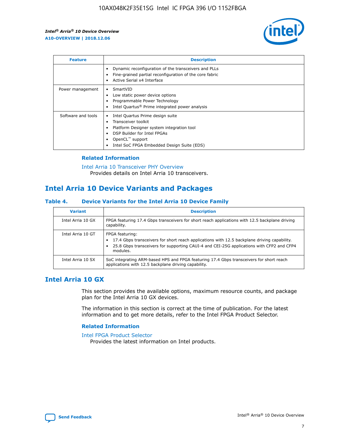

| <b>Feature</b>     | <b>Description</b>                                                                                                                                                                                                    |
|--------------------|-----------------------------------------------------------------------------------------------------------------------------------------------------------------------------------------------------------------------|
|                    | Dynamic reconfiguration of the transceivers and PLLs<br>Fine-grained partial reconfiguration of the core fabric<br>Active Serial x4 Interface                                                                         |
| Power management   | SmartVID<br>Low static power device options<br>Programmable Power Technology<br>Intel Quartus <sup>®</sup> Prime integrated power analysis                                                                            |
| Software and tools | Intel Quartus Prime design suite<br>Transceiver toolkit<br>٠<br>Platform Designer system integration tool<br>DSP Builder for Intel FPGAs<br>OpenCL <sup>™</sup> support<br>Intel SoC FPGA Embedded Design Suite (EDS) |

## **Related Information**

[Intel Arria 10 Transceiver PHY Overview](https://www.intel.com/content/www/us/en/programmable/documentation/nik1398707230472.html#nik1398706768037) Provides details on Intel Arria 10 transceivers.

## **Intel Arria 10 Device Variants and Packages**

#### **Table 4. Device Variants for the Intel Arria 10 Device Family**

| <b>Variant</b>    | <b>Description</b>                                                                                                                                                                                                     |
|-------------------|------------------------------------------------------------------------------------------------------------------------------------------------------------------------------------------------------------------------|
| Intel Arria 10 GX | FPGA featuring 17.4 Gbps transceivers for short reach applications with 12.5 backplane driving<br>capability.                                                                                                          |
| Intel Arria 10 GT | FPGA featuring:<br>17.4 Gbps transceivers for short reach applications with 12.5 backplane driving capability.<br>25.8 Gbps transceivers for supporting CAUI-4 and CEI-25G applications with CFP2 and CFP4<br>modules. |
| Intel Arria 10 SX | SoC integrating ARM-based HPS and FPGA featuring 17.4 Gbps transceivers for short reach<br>applications with 12.5 backplane driving capability.                                                                        |

## **Intel Arria 10 GX**

This section provides the available options, maximum resource counts, and package plan for the Intel Arria 10 GX devices.

The information in this section is correct at the time of publication. For the latest information and to get more details, refer to the Intel FPGA Product Selector.

### **Related Information**

#### [Intel FPGA Product Selector](http://www.altera.com/products/selector/psg-selector.html) Provides the latest information on Intel products.

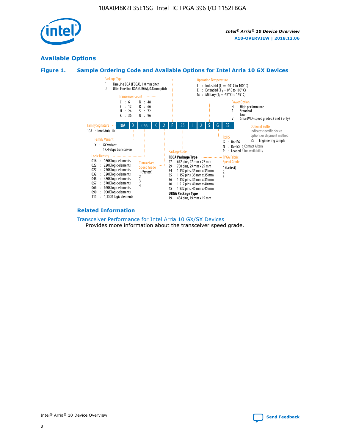

## **Available Options**





#### **Related Information**

[Transceiver Performance for Intel Arria 10 GX/SX Devices](https://www.intel.com/content/www/us/en/programmable/documentation/mcn1413182292568.html#mcn1413213965502) Provides more information about the transceiver speed grade.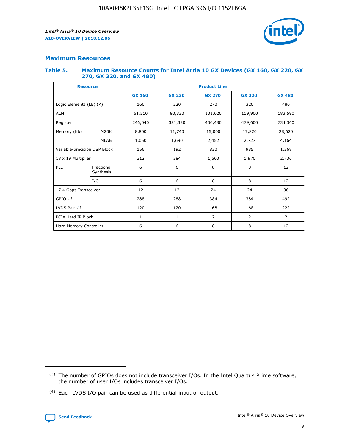

## **Maximum Resources**

### **Table 5. Maximum Resource Counts for Intel Arria 10 GX Devices (GX 160, GX 220, GX 270, GX 320, and GX 480)**

| <b>Resource</b>              |                         | <b>Product Line</b> |                    |               |                |                |  |  |
|------------------------------|-------------------------|---------------------|--------------------|---------------|----------------|----------------|--|--|
|                              |                         | <b>GX 160</b>       | <b>GX 220</b>      | <b>GX 270</b> | <b>GX 320</b>  | <b>GX 480</b>  |  |  |
| Logic Elements (LE) (K)      |                         | 160                 | 220                | 270           | 320            | 480            |  |  |
| <b>ALM</b>                   |                         | 61,510              | 80,330             | 101,620       | 119,900        | 183,590        |  |  |
| Register                     |                         | 246,040             | 406,480<br>321,320 |               | 479,600        | 734,360        |  |  |
| Memory (Kb)                  | M <sub>20</sub> K       | 8,800               | 11,740             | 15,000        | 17,820         | 28,620         |  |  |
|                              | <b>MLAB</b>             | 1,050               | 1,690              | 2,452         | 2,727          | 4,164          |  |  |
| Variable-precision DSP Block |                         | 156                 | 192                | 830           | 985            | 1,368          |  |  |
| 18 x 19 Multiplier           |                         | 312                 | 384                | 1,660         | 1,970          |                |  |  |
| PLL                          | Fractional<br>Synthesis | 6                   | 6                  | 8             | 8              | 12             |  |  |
|                              | I/O                     | 6                   | 6                  | 8             | 8              | 12             |  |  |
| 17.4 Gbps Transceiver        |                         | 12                  | 12                 | 24            | 24             | 36             |  |  |
| GPIO <sup>(3)</sup>          |                         | 288                 | 288                | 384           | 384            |                |  |  |
| LVDS Pair $(4)$              |                         | 120                 | 120                | 168           | 168            | 222            |  |  |
| PCIe Hard IP Block           |                         | 1                   | 1                  | 2             | $\overline{2}$ | $\overline{2}$ |  |  |
| Hard Memory Controller       |                         | 6                   | 6                  | 8             | 8              | 12             |  |  |

<sup>(4)</sup> Each LVDS I/O pair can be used as differential input or output.



<sup>(3)</sup> The number of GPIOs does not include transceiver I/Os. In the Intel Quartus Prime software, the number of user I/Os includes transceiver I/Os.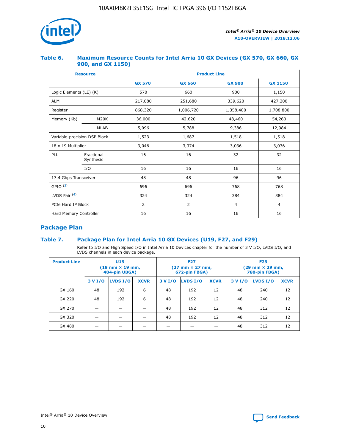

## **Table 6. Maximum Resource Counts for Intel Arria 10 GX Devices (GX 570, GX 660, GX 900, and GX 1150)**

|                              | <b>Resource</b>         | <b>Product Line</b> |               |                |                |  |  |  |
|------------------------------|-------------------------|---------------------|---------------|----------------|----------------|--|--|--|
|                              |                         | <b>GX 570</b>       | <b>GX 660</b> | <b>GX 900</b>  | <b>GX 1150</b> |  |  |  |
| Logic Elements (LE) (K)      |                         | 570                 | 660           | 900            | 1,150          |  |  |  |
| <b>ALM</b>                   |                         | 217,080             | 251,680       | 339,620        | 427,200        |  |  |  |
| Register                     |                         | 868,320             | 1,006,720     | 1,358,480      | 1,708,800      |  |  |  |
| Memory (Kb)                  | <b>M20K</b>             | 36,000              | 42,620        | 48,460         | 54,260         |  |  |  |
|                              | <b>MLAB</b>             | 5,096               | 5,788         | 9,386          | 12,984         |  |  |  |
| Variable-precision DSP Block |                         | 1,523               | 1,687         | 1,518          | 1,518          |  |  |  |
| $18 \times 19$ Multiplier    |                         | 3,046               | 3,374         | 3,036          | 3,036          |  |  |  |
| PLL                          | Fractional<br>Synthesis | 16                  | 16            | 32             | 32             |  |  |  |
|                              | I/O                     | 16                  | 16            | 16             | 16             |  |  |  |
| 17.4 Gbps Transceiver        |                         | 48                  | 96<br>48      |                | 96             |  |  |  |
| GPIO <sup>(3)</sup>          |                         | 696                 | 696           | 768            | 768            |  |  |  |
| LVDS Pair $(4)$              |                         | 324                 | 324           | 384            | 384            |  |  |  |
| PCIe Hard IP Block           |                         | 2                   | 2             | $\overline{4}$ | $\overline{4}$ |  |  |  |
| Hard Memory Controller       |                         | 16                  | 16            | 16             | 16             |  |  |  |

## **Package Plan**

## **Table 7. Package Plan for Intel Arria 10 GX Devices (U19, F27, and F29)**

Refer to I/O and High Speed I/O in Intel Arria 10 Devices chapter for the number of 3 V I/O, LVDS I/O, and LVDS channels in each device package.

| <b>Product Line</b> | U <sub>19</sub><br>$(19 \text{ mm} \times 19 \text{ mm})$<br>484-pin UBGA) |          |             |         | <b>F27</b><br>(27 mm × 27 mm,<br>672-pin FBGA) |             | <b>F29</b><br>(29 mm × 29 mm,<br>780-pin FBGA) |          |             |  |
|---------------------|----------------------------------------------------------------------------|----------|-------------|---------|------------------------------------------------|-------------|------------------------------------------------|----------|-------------|--|
|                     | 3 V I/O                                                                    | LVDS I/O | <b>XCVR</b> | 3 V I/O | LVDS I/O                                       | <b>XCVR</b> | 3 V I/O                                        | LVDS I/O | <b>XCVR</b> |  |
| GX 160              | 48                                                                         | 192      | 6           | 48      | 192                                            | 12          | 48                                             | 240      | 12          |  |
| GX 220              | 48                                                                         | 192      | 6           | 48      | 192                                            | 12          | 48                                             | 240      | 12          |  |
| GX 270              |                                                                            |          |             | 48      | 192                                            | 12          | 48                                             | 312      | 12          |  |
| GX 320              |                                                                            |          |             | 48      | 192                                            | 12          | 48                                             | 312      | 12          |  |
| GX 480              |                                                                            |          |             |         |                                                |             | 48                                             | 312      | 12          |  |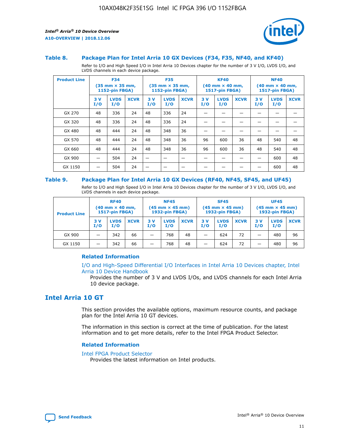

#### **Table 8. Package Plan for Intel Arria 10 GX Devices (F34, F35, NF40, and KF40)**

Refer to I/O and High Speed I/O in Intel Arria 10 Devices chapter for the number of 3 V I/O, LVDS I/O, and LVDS channels in each device package.

| <b>Product Line</b> | <b>F34</b><br>$(35 \text{ mm} \times 35 \text{ mm})$<br><b>1152-pin FBGA)</b> |                    | <b>F35</b><br>$(35 \text{ mm} \times 35 \text{ mm})$<br><b>1152-pin FBGA)</b> |           | <b>KF40</b><br>$(40$ mm $\times$ 40 mm,<br><b>1517-pin FBGA)</b> |             |           | <b>NF40</b><br>$(40 \text{ mm} \times 40 \text{ mm})$<br>1517-pin FBGA) |             |           |                    |             |
|---------------------|-------------------------------------------------------------------------------|--------------------|-------------------------------------------------------------------------------|-----------|------------------------------------------------------------------|-------------|-----------|-------------------------------------------------------------------------|-------------|-----------|--------------------|-------------|
|                     | 3V<br>I/O                                                                     | <b>LVDS</b><br>I/O | <b>XCVR</b>                                                                   | 3V<br>I/O | <b>LVDS</b><br>I/O                                               | <b>XCVR</b> | 3V<br>I/O | <b>LVDS</b><br>I/O                                                      | <b>XCVR</b> | 3V<br>I/O | <b>LVDS</b><br>I/O | <b>XCVR</b> |
| GX 270              | 48                                                                            | 336                | 24                                                                            | 48        | 336                                                              | 24          |           |                                                                         |             |           |                    |             |
| GX 320              | 48                                                                            | 336                | 24                                                                            | 48        | 336                                                              | 24          |           |                                                                         |             |           |                    |             |
| GX 480              | 48                                                                            | 444                | 24                                                                            | 48        | 348                                                              | 36          |           |                                                                         |             |           |                    |             |
| GX 570              | 48                                                                            | 444                | 24                                                                            | 48        | 348                                                              | 36          | 96        | 600                                                                     | 36          | 48        | 540                | 48          |
| GX 660              | 48                                                                            | 444                | 24                                                                            | 48        | 348                                                              | 36          | 96        | 600                                                                     | 36          | 48        | 540                | 48          |
| GX 900              |                                                                               | 504                | 24                                                                            | –         |                                                                  | -           |           |                                                                         |             |           | 600                | 48          |
| GX 1150             |                                                                               | 504                | 24                                                                            |           |                                                                  |             |           |                                                                         |             |           | 600                | 48          |

### **Table 9. Package Plan for Intel Arria 10 GX Devices (RF40, NF45, SF45, and UF45)**

Refer to I/O and High Speed I/O in Intel Arria 10 Devices chapter for the number of 3 V I/O, LVDS I/O, and LVDS channels in each device package.

| <b>Product Line</b> | <b>RF40</b><br>$(40$ mm $\times$ 40 mm,<br>1517-pin FBGA) |                    | <b>NF45</b><br>$(45 \text{ mm} \times 45 \text{ mm})$<br><b>1932-pin FBGA)</b> |            |                    | <b>SF45</b><br>$(45 \text{ mm} \times 45 \text{ mm})$<br><b>1932-pin FBGA)</b> |            |                    | <b>UF45</b><br>$(45 \text{ mm} \times 45 \text{ mm})$<br><b>1932-pin FBGA)</b> |           |                    |             |
|---------------------|-----------------------------------------------------------|--------------------|--------------------------------------------------------------------------------|------------|--------------------|--------------------------------------------------------------------------------|------------|--------------------|--------------------------------------------------------------------------------|-----------|--------------------|-------------|
|                     | 3V<br>I/O                                                 | <b>LVDS</b><br>I/O | <b>XCVR</b>                                                                    | 3 V<br>I/O | <b>LVDS</b><br>I/O | <b>XCVR</b>                                                                    | 3 V<br>I/O | <b>LVDS</b><br>I/O | <b>XCVR</b>                                                                    | 3V<br>I/O | <b>LVDS</b><br>I/O | <b>XCVR</b> |
| GX 900              |                                                           | 342                | 66                                                                             | _          | 768                | 48                                                                             |            | 624                | 72                                                                             |           | 480                | 96          |
| GX 1150             |                                                           | 342                | 66                                                                             | _          | 768                | 48                                                                             |            | 624                | 72                                                                             |           | 480                | 96          |

## **Related Information**

[I/O and High-Speed Differential I/O Interfaces in Intel Arria 10 Devices chapter, Intel](https://www.intel.com/content/www/us/en/programmable/documentation/sam1403482614086.html#sam1403482030321) [Arria 10 Device Handbook](https://www.intel.com/content/www/us/en/programmable/documentation/sam1403482614086.html#sam1403482030321)

Provides the number of 3 V and LVDS I/Os, and LVDS channels for each Intel Arria 10 device package.

## **Intel Arria 10 GT**

This section provides the available options, maximum resource counts, and package plan for the Intel Arria 10 GT devices.

The information in this section is correct at the time of publication. For the latest information and to get more details, refer to the Intel FPGA Product Selector.

#### **Related Information**

#### [Intel FPGA Product Selector](http://www.altera.com/products/selector/psg-selector.html)

Provides the latest information on Intel products.

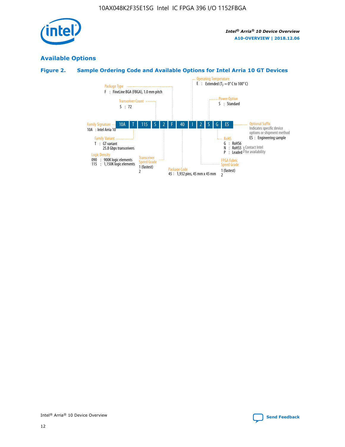

## **Available Options**

## **Figure 2. Sample Ordering Code and Available Options for Intel Arria 10 GT Devices**

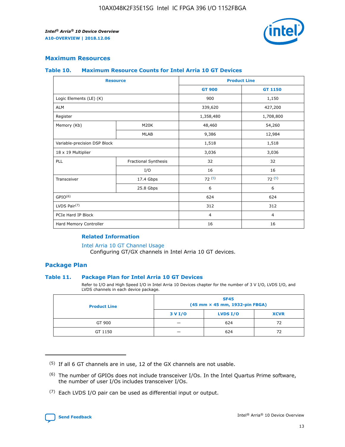

## **Maximum Resources**

#### **Table 10. Maximum Resource Counts for Intel Arria 10 GT Devices**

| <b>Resource</b>              |                      | <b>Product Line</b> |                |  |
|------------------------------|----------------------|---------------------|----------------|--|
|                              |                      | <b>GT 900</b>       | <b>GT 1150</b> |  |
| Logic Elements (LE) (K)      |                      | 900                 | 1,150          |  |
| <b>ALM</b>                   |                      | 339,620             | 427,200        |  |
| Register                     |                      | 1,358,480           | 1,708,800      |  |
| Memory (Kb)                  | M20K                 | 48,460              | 54,260         |  |
|                              | <b>MLAB</b>          | 9,386               | 12,984         |  |
| Variable-precision DSP Block |                      | 1,518               | 1,518          |  |
| 18 x 19 Multiplier           |                      | 3,036               | 3,036          |  |
| PLL                          | Fractional Synthesis | 32                  | 32             |  |
|                              | I/O                  | 16                  | 16             |  |
| Transceiver                  | 17.4 Gbps            | 72(5)               | 72(5)          |  |
|                              | 25.8 Gbps            | 6                   | 6              |  |
| GPIO <sup>(6)</sup>          |                      | 624                 | 624            |  |
| LVDS Pair $(7)$              |                      | 312                 | 312            |  |
| PCIe Hard IP Block           |                      | $\overline{4}$      | $\overline{4}$ |  |
| Hard Memory Controller       |                      | 16                  | 16             |  |

## **Related Information**

#### [Intel Arria 10 GT Channel Usage](https://www.intel.com/content/www/us/en/programmable/documentation/nik1398707230472.html#nik1398707008178)

Configuring GT/GX channels in Intel Arria 10 GT devices.

## **Package Plan**

## **Table 11. Package Plan for Intel Arria 10 GT Devices**

Refer to I/O and High Speed I/O in Intel Arria 10 Devices chapter for the number of 3 V I/O, LVDS I/O, and LVDS channels in each device package.

| <b>Product Line</b> | <b>SF45</b><br>(45 mm × 45 mm, 1932-pin FBGA) |                 |             |  |  |  |
|---------------------|-----------------------------------------------|-----------------|-------------|--|--|--|
|                     | 3 V I/O                                       | <b>LVDS I/O</b> | <b>XCVR</b> |  |  |  |
| GT 900              |                                               | 624             | 72          |  |  |  |
| GT 1150             |                                               | 624             | 72          |  |  |  |

<sup>(7)</sup> Each LVDS I/O pair can be used as differential input or output.



 $(5)$  If all 6 GT channels are in use, 12 of the GX channels are not usable.

<sup>(6)</sup> The number of GPIOs does not include transceiver I/Os. In the Intel Quartus Prime software, the number of user I/Os includes transceiver I/Os.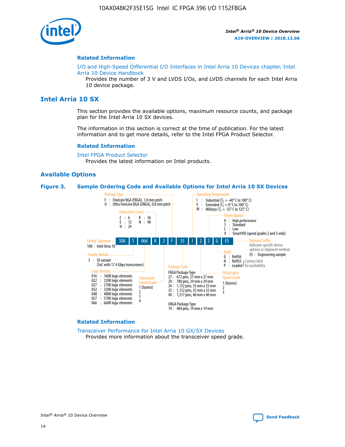

### **Related Information**

[I/O and High-Speed Differential I/O Interfaces in Intel Arria 10 Devices chapter, Intel](https://www.intel.com/content/www/us/en/programmable/documentation/sam1403482614086.html#sam1403482030321) [Arria 10 Device Handbook](https://www.intel.com/content/www/us/en/programmable/documentation/sam1403482614086.html#sam1403482030321)

Provides the number of 3 V and LVDS I/Os, and LVDS channels for each Intel Arria 10 device package.

## **Intel Arria 10 SX**

This section provides the available options, maximum resource counts, and package plan for the Intel Arria 10 SX devices.

The information in this section is correct at the time of publication. For the latest information and to get more details, refer to the Intel FPGA Product Selector.

#### **Related Information**

[Intel FPGA Product Selector](http://www.altera.com/products/selector/psg-selector.html) Provides the latest information on Intel products.

## **Available Options**

#### **Figure 3. Sample Ordering Code and Available Options for Intel Arria 10 SX Devices**



#### **Related Information**

[Transceiver Performance for Intel Arria 10 GX/SX Devices](https://www.intel.com/content/www/us/en/programmable/documentation/mcn1413182292568.html#mcn1413213965502) Provides more information about the transceiver speed grade.

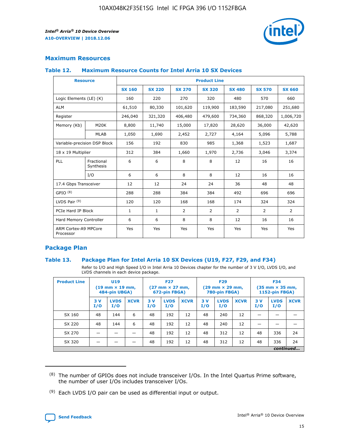

## **Maximum Resources**

#### **Table 12. Maximum Resource Counts for Intel Arria 10 SX Devices**

| <b>Resource</b>                   |                         | <b>Product Line</b> |               |                |                |                |                |                |  |  |  |
|-----------------------------------|-------------------------|---------------------|---------------|----------------|----------------|----------------|----------------|----------------|--|--|--|
|                                   |                         | <b>SX 160</b>       | <b>SX 220</b> | <b>SX 270</b>  | <b>SX 320</b>  | <b>SX 480</b>  | <b>SX 570</b>  | <b>SX 660</b>  |  |  |  |
| Logic Elements (LE) (K)           |                         | 160                 | 220           | 270            | 320            | 480            | 570            | 660            |  |  |  |
| <b>ALM</b>                        |                         | 61,510              | 80,330        | 101,620        | 119,900        | 183,590        | 217,080        | 251,680        |  |  |  |
| Register                          |                         | 246,040             | 321,320       | 406,480        | 479,600        | 734,360        | 868,320        | 1,006,720      |  |  |  |
| Memory (Kb)                       | M <sub>20</sub> K       | 8,800               | 11,740        | 15,000         | 17,820         | 28,620         | 36,000         | 42,620         |  |  |  |
|                                   | <b>MLAB</b>             | 1,050               | 1,690         | 2,452          | 2,727          | 4,164          | 5,096          | 5,788          |  |  |  |
| Variable-precision DSP Block      |                         | 156                 | 192           | 830            | 985            | 1,368          | 1,523          | 1,687          |  |  |  |
| 18 x 19 Multiplier                |                         | 312                 | 384           | 1,660          | 1,970          | 2,736          | 3,046          | 3,374          |  |  |  |
| PLL                               | Fractional<br>Synthesis | 6                   | 6             | 8              | 8              | 12             | 16             | 16             |  |  |  |
|                                   | I/O                     | 6                   | 6             | 8              | 8              | 12             | 16             | 16             |  |  |  |
| 17.4 Gbps Transceiver             |                         | 12                  | 12            | 24             | 24             | 36             | 48             | 48             |  |  |  |
| GPIO <sup>(8)</sup>               |                         | 288                 | 288           | 384            | 384            | 492            | 696            | 696            |  |  |  |
| LVDS Pair $(9)$                   |                         | 120                 | 120           | 168            | 168            | 174            | 324            | 324            |  |  |  |
| PCIe Hard IP Block                |                         | $\mathbf{1}$        | $\mathbf{1}$  | $\overline{2}$ | $\overline{2}$ | $\overline{2}$ | $\overline{2}$ | $\overline{2}$ |  |  |  |
| Hard Memory Controller            |                         | 6                   | 6             | 8              | 8              | 12             | 16             | 16             |  |  |  |
| ARM Cortex-A9 MPCore<br>Processor |                         | Yes                 | Yes           | Yes            | Yes            | Yes            | Yes            | <b>Yes</b>     |  |  |  |

## **Package Plan**

## **Table 13. Package Plan for Intel Arria 10 SX Devices (U19, F27, F29, and F34)**

Refer to I/O and High Speed I/O in Intel Arria 10 Devices chapter for the number of 3 V I/O, LVDS I/O, and LVDS channels in each device package.

| <b>Product Line</b> | U19<br>$(19 \text{ mm} \times 19 \text{ mm})$<br>484-pin UBGA) |                    |             | <b>F27</b><br>$(27 \text{ mm} \times 27 \text{ mm})$ .<br>672-pin FBGA) |                    | <b>F29</b><br>$(29 \text{ mm} \times 29 \text{ mm})$ .<br>780-pin FBGA) |            |                    | <b>F34</b><br>$(35 \text{ mm} \times 35 \text{ mm})$<br><b>1152-pin FBGA)</b> |           |                    |             |
|---------------------|----------------------------------------------------------------|--------------------|-------------|-------------------------------------------------------------------------|--------------------|-------------------------------------------------------------------------|------------|--------------------|-------------------------------------------------------------------------------|-----------|--------------------|-------------|
|                     | 3V<br>I/O                                                      | <b>LVDS</b><br>I/O | <b>XCVR</b> | 3V<br>I/O                                                               | <b>LVDS</b><br>I/O | <b>XCVR</b>                                                             | 3 V<br>I/O | <b>LVDS</b><br>I/O | <b>XCVR</b>                                                                   | 3V<br>I/O | <b>LVDS</b><br>I/O | <b>XCVR</b> |
| SX 160              | 48                                                             | 144                | 6           | 48                                                                      | 192                | 12                                                                      | 48         | 240                | 12                                                                            |           |                    |             |
| SX 220              | 48                                                             | 144                | 6           | 48                                                                      | 192                | 12                                                                      | 48         | 240                | 12                                                                            |           |                    |             |
| SX 270              |                                                                |                    |             | 48                                                                      | 192                | 12                                                                      | 48         | 312                | 12                                                                            | 48        | 336                | 24          |
| SX 320              |                                                                |                    |             | 48                                                                      | 192                | 12                                                                      | 48         | 312                | 12                                                                            | 48        | 336                | 24          |
|                     | continued                                                      |                    |             |                                                                         |                    |                                                                         |            |                    |                                                                               |           |                    |             |

 $(8)$  The number of GPIOs does not include transceiver I/Os. In the Intel Quartus Prime software, the number of user I/Os includes transceiver I/Os.

 $(9)$  Each LVDS I/O pair can be used as differential input or output.

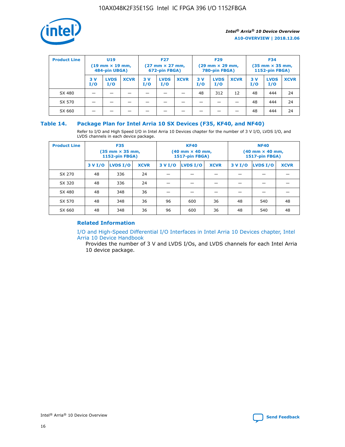

| <b>Product Line</b> | U <sub>19</sub><br>$(19 \text{ mm} \times 19 \text{ mm})$<br>484-pin UBGA) |                    | <b>F27</b><br>$(27 \text{ mm} \times 27 \text{ mm})$<br>672-pin FBGA) |           | <b>F29</b><br>$(29 \text{ mm} \times 29 \text{ mm})$<br>780-pin FBGA) |             |           | <b>F34</b><br>$(35 \text{ mm} \times 35 \text{ mm})$<br><b>1152-pin FBGA)</b> |             |           |                    |             |
|---------------------|----------------------------------------------------------------------------|--------------------|-----------------------------------------------------------------------|-----------|-----------------------------------------------------------------------|-------------|-----------|-------------------------------------------------------------------------------|-------------|-----------|--------------------|-------------|
|                     | 3 V<br>I/O                                                                 | <b>LVDS</b><br>I/O | <b>XCVR</b>                                                           | 3V<br>I/O | <b>LVDS</b><br>I/O                                                    | <b>XCVR</b> | 3V<br>I/O | <b>LVDS</b><br>I/O                                                            | <b>XCVR</b> | 3V<br>I/O | <b>LVDS</b><br>I/O | <b>XCVR</b> |
| SX 480              |                                                                            |                    |                                                                       |           |                                                                       |             | 48        | 312                                                                           | 12          | 48        | 444                | 24          |
| SX 570              |                                                                            |                    |                                                                       |           |                                                                       |             |           |                                                                               |             | 48        | 444                | 24          |
| SX 660              |                                                                            |                    |                                                                       |           |                                                                       |             |           |                                                                               |             | 48        | 444                | 24          |

## **Table 14. Package Plan for Intel Arria 10 SX Devices (F35, KF40, and NF40)**

Refer to I/O and High Speed I/O in Intel Arria 10 Devices chapter for the number of 3 V I/O, LVDS I/O, and LVDS channels in each device package.

| <b>Product Line</b> | <b>F35</b><br>$(35 \text{ mm} \times 35 \text{ mm})$<br><b>1152-pin FBGA)</b> |          |             |                                           | <b>KF40</b><br>(40 mm × 40 mm,<br>1517-pin FBGA) |    | <b>NF40</b><br>$(40 \text{ mm} \times 40 \text{ mm})$<br>1517-pin FBGA) |          |             |  |
|---------------------|-------------------------------------------------------------------------------|----------|-------------|-------------------------------------------|--------------------------------------------------|----|-------------------------------------------------------------------------|----------|-------------|--|
|                     | 3 V I/O                                                                       | LVDS I/O | <b>XCVR</b> | <b>LVDS I/O</b><br><b>XCVR</b><br>3 V I/O |                                                  |    | 3 V I/O                                                                 | LVDS I/O | <b>XCVR</b> |  |
| SX 270              | 48                                                                            | 336      | 24          |                                           |                                                  |    |                                                                         |          |             |  |
| SX 320              | 48                                                                            | 336      | 24          |                                           |                                                  |    |                                                                         |          |             |  |
| SX 480              | 48                                                                            | 348      | 36          |                                           |                                                  |    |                                                                         |          |             |  |
| SX 570              | 48                                                                            | 348      | 36          | 96                                        | 600                                              | 36 | 48                                                                      | 540      | 48          |  |
| SX 660              | 48                                                                            | 348      | 36          | 96                                        | 600                                              | 36 | 48                                                                      | 540      | 48          |  |

## **Related Information**

[I/O and High-Speed Differential I/O Interfaces in Intel Arria 10 Devices chapter, Intel](https://www.intel.com/content/www/us/en/programmable/documentation/sam1403482614086.html#sam1403482030321) [Arria 10 Device Handbook](https://www.intel.com/content/www/us/en/programmable/documentation/sam1403482614086.html#sam1403482030321)

Provides the number of 3 V and LVDS I/Os, and LVDS channels for each Intel Arria 10 device package.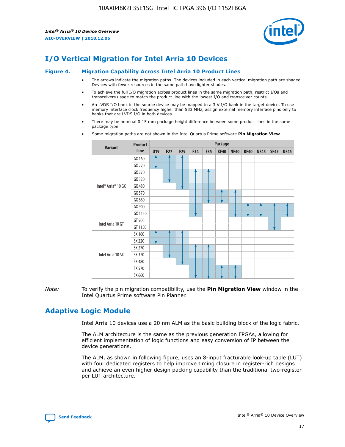

# **I/O Vertical Migration for Intel Arria 10 Devices**

#### **Figure 4. Migration Capability Across Intel Arria 10 Product Lines**

- The arrows indicate the migration paths. The devices included in each vertical migration path are shaded. Devices with fewer resources in the same path have lighter shades.
- To achieve the full I/O migration across product lines in the same migration path, restrict I/Os and transceivers usage to match the product line with the lowest I/O and transceiver counts.
- An LVDS I/O bank in the source device may be mapped to a 3 V I/O bank in the target device. To use memory interface clock frequency higher than 533 MHz, assign external memory interface pins only to banks that are LVDS I/O in both devices.
- There may be nominal 0.15 mm package height difference between some product lines in the same package type.
	- **Variant Product Line Package U19 F27 F29 F34 F35 KF40 NF40 RF40 NF45 SF45 UF45** Intel® Arria® 10 GX GX 160 GX 220 GX 270 GX 320 GX 480 GX 570 GX 660 GX 900 GX 1150 Intel Arria 10 GT GT 900 GT 1150 Intel Arria 10 SX SX 160 SX 220 SX 270 SX 320 SX 480 SX 570 SX 660
- Some migration paths are not shown in the Intel Quartus Prime software **Pin Migration View**.

*Note:* To verify the pin migration compatibility, use the **Pin Migration View** window in the Intel Quartus Prime software Pin Planner.

## **Adaptive Logic Module**

Intel Arria 10 devices use a 20 nm ALM as the basic building block of the logic fabric.

The ALM architecture is the same as the previous generation FPGAs, allowing for efficient implementation of logic functions and easy conversion of IP between the device generations.

The ALM, as shown in following figure, uses an 8-input fracturable look-up table (LUT) with four dedicated registers to help improve timing closure in register-rich designs and achieve an even higher design packing capability than the traditional two-register per LUT architecture.

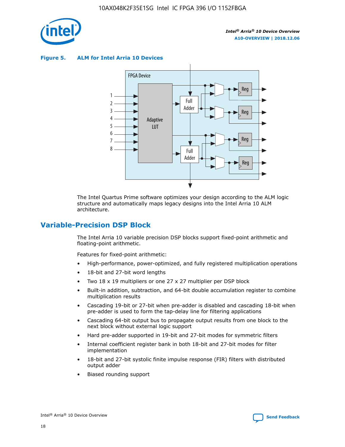

**Figure 5. ALM for Intel Arria 10 Devices**



The Intel Quartus Prime software optimizes your design according to the ALM logic structure and automatically maps legacy designs into the Intel Arria 10 ALM architecture.

## **Variable-Precision DSP Block**

The Intel Arria 10 variable precision DSP blocks support fixed-point arithmetic and floating-point arithmetic.

Features for fixed-point arithmetic:

- High-performance, power-optimized, and fully registered multiplication operations
- 18-bit and 27-bit word lengths
- Two 18 x 19 multipliers or one 27 x 27 multiplier per DSP block
- Built-in addition, subtraction, and 64-bit double accumulation register to combine multiplication results
- Cascading 19-bit or 27-bit when pre-adder is disabled and cascading 18-bit when pre-adder is used to form the tap-delay line for filtering applications
- Cascading 64-bit output bus to propagate output results from one block to the next block without external logic support
- Hard pre-adder supported in 19-bit and 27-bit modes for symmetric filters
- Internal coefficient register bank in both 18-bit and 27-bit modes for filter implementation
- 18-bit and 27-bit systolic finite impulse response (FIR) filters with distributed output adder
- Biased rounding support

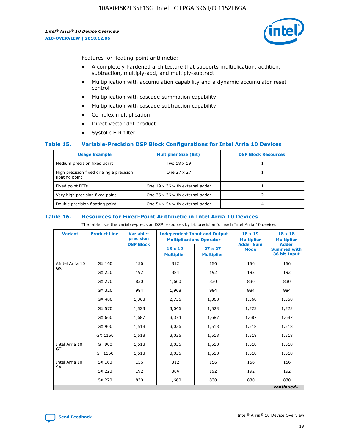

Features for floating-point arithmetic:

- A completely hardened architecture that supports multiplication, addition, subtraction, multiply-add, and multiply-subtract
- Multiplication with accumulation capability and a dynamic accumulator reset control
- Multiplication with cascade summation capability
- Multiplication with cascade subtraction capability
- Complex multiplication
- Direct vector dot product
- Systolic FIR filter

## **Table 15. Variable-Precision DSP Block Configurations for Intel Arria 10 Devices**

| <b>Usage Example</b>                                       | <b>Multiplier Size (Bit)</b>    | <b>DSP Block Resources</b> |
|------------------------------------------------------------|---------------------------------|----------------------------|
| Medium precision fixed point                               | Two 18 x 19                     |                            |
| High precision fixed or Single precision<br>floating point | One 27 x 27                     |                            |
| Fixed point FFTs                                           | One 19 x 36 with external adder |                            |
| Very high precision fixed point                            | One 36 x 36 with external adder |                            |
| Double precision floating point                            | One 54 x 54 with external adder | 4                          |

#### **Table 16. Resources for Fixed-Point Arithmetic in Intel Arria 10 Devices**

The table lists the variable-precision DSP resources by bit precision for each Intel Arria 10 device.

| <b>Variant</b>        | <b>Product Line</b> | <b>Variable-</b><br>precision<br><b>DSP Block</b> | <b>Independent Input and Output</b><br><b>Multiplications Operator</b> |                                     | 18 x 19<br><b>Multiplier</b><br><b>Adder Sum</b> | $18 \times 18$<br><b>Multiplier</b><br><b>Adder</b> |
|-----------------------|---------------------|---------------------------------------------------|------------------------------------------------------------------------|-------------------------------------|--------------------------------------------------|-----------------------------------------------------|
|                       |                     |                                                   | 18 x 19<br><b>Multiplier</b>                                           | $27 \times 27$<br><b>Multiplier</b> | <b>Mode</b>                                      | <b>Summed with</b><br>36 bit Input                  |
| AIntel Arria 10<br>GX | GX 160              | 156                                               | 312                                                                    | 156                                 | 156                                              | 156                                                 |
|                       | GX 220              | 192                                               | 384                                                                    | 192                                 | 192                                              | 192                                                 |
|                       | GX 270              | 830                                               | 1,660                                                                  | 830                                 | 830                                              | 830                                                 |
|                       | GX 320              | 984                                               | 1,968                                                                  | 984                                 | 984                                              | 984                                                 |
|                       | GX 480              | 1,368                                             | 2,736                                                                  | 1,368                               | 1,368                                            | 1,368                                               |
|                       | GX 570              | 1,523                                             | 3,046                                                                  | 1,523                               | 1,523                                            | 1,523                                               |
|                       | GX 660              | 1,687                                             | 3,374                                                                  | 1,687                               | 1,687                                            | 1,687                                               |
|                       | GX 900              | 1,518                                             | 3,036                                                                  | 1,518                               | 1,518                                            | 1,518                                               |
|                       | GX 1150             | 1,518                                             | 3,036                                                                  | 1,518                               | 1,518                                            | 1,518                                               |
| Intel Arria 10        | GT 900              | 1,518                                             | 3,036                                                                  | 1,518                               | 1,518                                            | 1,518                                               |
| GT                    | GT 1150             | 1,518                                             | 3,036                                                                  | 1,518                               | 1,518                                            | 1,518                                               |
| Intel Arria 10        | SX 160              | 156                                               | 312                                                                    | 156                                 | 156                                              | 156                                                 |
| <b>SX</b>             | SX 220              | 192                                               | 384                                                                    | 192                                 | 192                                              | 192                                                 |
|                       | SX 270              | 830                                               | 1,660                                                                  | 830                                 | 830                                              | 830                                                 |
|                       |                     |                                                   |                                                                        |                                     |                                                  | continued                                           |

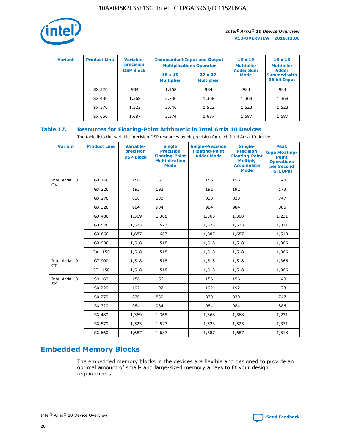

| <b>Variant</b> | <b>Product Line</b> | <b>Variable-</b><br>precision |                                     | <b>Independent Input and Output</b><br><b>Multiplications Operator</b> | $18 \times 19$<br><b>Multiplier</b> | $18 \times 18$<br><b>Multiplier</b>                |
|----------------|---------------------|-------------------------------|-------------------------------------|------------------------------------------------------------------------|-------------------------------------|----------------------------------------------------|
|                |                     | <b>DSP Block</b>              | $18 \times 19$<br><b>Multiplier</b> | $27 \times 27$<br><b>Multiplier</b>                                    | <b>Adder Sum</b><br><b>Mode</b>     | <b>Adder</b><br><b>Summed with</b><br>36 bit Input |
|                | SX 320              | 984                           | 1,968                               | 984                                                                    | 984                                 | 984                                                |
|                | SX 480              | 1,368                         | 2,736                               | 1,368                                                                  | 1,368                               | 1,368                                              |
|                | SX 570              | 1,523                         | 3,046                               | 1,523                                                                  | 1,523                               | 1,523                                              |
|                | SX 660              | 1,687                         | 3,374                               | 1,687                                                                  | 1,687                               | 1,687                                              |

## **Table 17. Resources for Floating-Point Arithmetic in Intel Arria 10 Devices**

The table lists the variable-precision DSP resources by bit precision for each Intel Arria 10 device.

| <b>Variant</b> | <b>Product Line</b> | <b>Variable-</b><br>precision<br><b>DSP Block</b> | <b>Single</b><br><b>Precision</b><br><b>Floating-Point</b><br><b>Multiplication</b><br><b>Mode</b> | <b>Single-Precision</b><br><b>Floating-Point</b><br><b>Adder Mode</b> | Single-<br><b>Precision</b><br><b>Floating-Point</b><br><b>Multiply</b><br><b>Accumulate</b><br><b>Mode</b> | <b>Peak</b><br><b>Giga Floating-</b><br><b>Point</b><br><b>Operations</b><br>per Second<br>(GFLOPs) |
|----------------|---------------------|---------------------------------------------------|----------------------------------------------------------------------------------------------------|-----------------------------------------------------------------------|-------------------------------------------------------------------------------------------------------------|-----------------------------------------------------------------------------------------------------|
| Intel Arria 10 | GX 160              | 156                                               | 156                                                                                                | 156                                                                   | 156                                                                                                         | 140                                                                                                 |
| GX             | GX 220              | 192                                               | 192                                                                                                | 192                                                                   | 192                                                                                                         | 173                                                                                                 |
|                | GX 270              | 830                                               | 830                                                                                                | 830                                                                   | 830                                                                                                         | 747                                                                                                 |
|                | GX 320              | 984                                               | 984                                                                                                | 984                                                                   | 984                                                                                                         | 886                                                                                                 |
|                | GX 480              | 1,369                                             | 1,368                                                                                              | 1,368                                                                 | 1,368                                                                                                       | 1,231                                                                                               |
|                | GX 570              | 1,523                                             | 1,523                                                                                              | 1,523                                                                 | 1,523                                                                                                       | 1,371                                                                                               |
|                | GX 660              | 1,687                                             | 1,687                                                                                              | 1,687                                                                 | 1,687                                                                                                       | 1,518                                                                                               |
|                | GX 900              | 1,518                                             | 1,518                                                                                              | 1,518                                                                 | 1,518                                                                                                       | 1,366                                                                                               |
|                | GX 1150             | 1,518                                             | 1,518                                                                                              | 1,518                                                                 | 1,518                                                                                                       | 1,366                                                                                               |
| Intel Arria 10 | GT 900              | 1,518                                             | 1,518                                                                                              | 1,518                                                                 | 1,518                                                                                                       | 1,366                                                                                               |
| GT             | GT 1150             | 1,518                                             | 1,518                                                                                              | 1,518                                                                 | 1,518                                                                                                       | 1,366                                                                                               |
| Intel Arria 10 | SX 160              | 156                                               | 156                                                                                                | 156                                                                   | 156                                                                                                         | 140                                                                                                 |
| <b>SX</b>      | SX 220              | 192                                               | 192                                                                                                | 192                                                                   | 192                                                                                                         | 173                                                                                                 |
|                | SX 270              | 830                                               | 830                                                                                                | 830                                                                   | 830                                                                                                         | 747                                                                                                 |
|                | SX 320              | 984                                               | 984                                                                                                | 984                                                                   | 984                                                                                                         | 886                                                                                                 |
|                | SX 480              | 1,369                                             | 1,368                                                                                              | 1,368                                                                 | 1,368                                                                                                       | 1,231                                                                                               |
|                | SX 570              | 1,523                                             | 1,523                                                                                              | 1,523                                                                 | 1,523                                                                                                       | 1,371                                                                                               |
|                | SX 660              | 1,687                                             | 1,687                                                                                              | 1,687                                                                 | 1,687                                                                                                       | 1,518                                                                                               |

# **Embedded Memory Blocks**

The embedded memory blocks in the devices are flexible and designed to provide an optimal amount of small- and large-sized memory arrays to fit your design requirements.

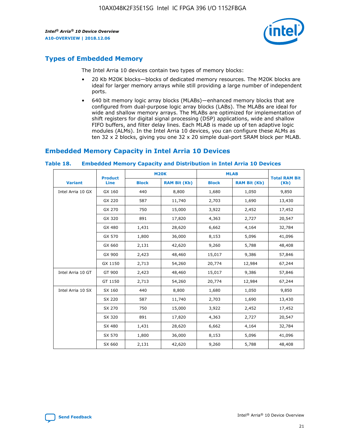

## **Types of Embedded Memory**

The Intel Arria 10 devices contain two types of memory blocks:

- 20 Kb M20K blocks—blocks of dedicated memory resources. The M20K blocks are ideal for larger memory arrays while still providing a large number of independent ports.
- 640 bit memory logic array blocks (MLABs)—enhanced memory blocks that are configured from dual-purpose logic array blocks (LABs). The MLABs are ideal for wide and shallow memory arrays. The MLABs are optimized for implementation of shift registers for digital signal processing (DSP) applications, wide and shallow FIFO buffers, and filter delay lines. Each MLAB is made up of ten adaptive logic modules (ALMs). In the Intel Arria 10 devices, you can configure these ALMs as ten 32 x 2 blocks, giving you one 32 x 20 simple dual-port SRAM block per MLAB.

## **Embedded Memory Capacity in Intel Arria 10 Devices**

|                   | <b>Product</b> |              | <b>M20K</b>         | <b>MLAB</b>  |                     | <b>Total RAM Bit</b> |
|-------------------|----------------|--------------|---------------------|--------------|---------------------|----------------------|
| <b>Variant</b>    | <b>Line</b>    | <b>Block</b> | <b>RAM Bit (Kb)</b> | <b>Block</b> | <b>RAM Bit (Kb)</b> | (Kb)                 |
| Intel Arria 10 GX | GX 160         | 440          | 8,800               | 1,680        | 1,050               | 9,850                |
|                   | GX 220         | 587          | 11,740              | 2,703        | 1,690               | 13,430               |
|                   | GX 270         | 750          | 15,000              | 3,922        | 2,452               | 17,452               |
|                   | GX 320         | 891          | 17,820              | 4,363        | 2,727               | 20,547               |
|                   | GX 480         | 1,431        | 28,620              | 6,662        | 4,164               | 32,784               |
|                   | GX 570         | 1,800        | 36,000              | 8,153        | 5,096               | 41,096               |
|                   | GX 660         | 2,131        | 42,620              | 9,260        | 5,788               | 48,408               |
|                   | GX 900         | 2,423        | 48,460              | 15,017       | 9,386               | 57,846               |
|                   | GX 1150        | 2,713        | 54,260              | 20,774       | 12,984              | 67,244               |
| Intel Arria 10 GT | GT 900         | 2,423        | 48,460              | 15,017       | 9,386               | 57,846               |
|                   | GT 1150        | 2,713        | 54,260              | 20,774       | 12,984              | 67,244               |
| Intel Arria 10 SX | SX 160         | 440          | 8,800               | 1,680        | 1,050               | 9,850                |
|                   | SX 220         | 587          | 11,740              | 2,703        | 1,690               | 13,430               |
|                   | SX 270         | 750          | 15,000              | 3,922        | 2,452               | 17,452               |
|                   | SX 320         | 891          | 17,820              | 4,363        | 2,727               | 20,547               |
|                   | SX 480         | 1,431        | 28,620              | 6,662        | 4,164               | 32,784               |
|                   | SX 570         | 1,800        | 36,000              | 8,153        | 5,096               | 41,096               |
|                   | SX 660         | 2,131        | 42,620              | 9,260        | 5,788               | 48,408               |

#### **Table 18. Embedded Memory Capacity and Distribution in Intel Arria 10 Devices**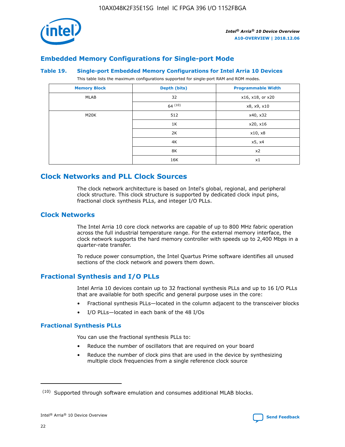

## **Embedded Memory Configurations for Single-port Mode**

### **Table 19. Single-port Embedded Memory Configurations for Intel Arria 10 Devices**

This table lists the maximum configurations supported for single-port RAM and ROM modes.

| <b>Memory Block</b> | Depth (bits) | <b>Programmable Width</b> |
|---------------------|--------------|---------------------------|
| MLAB                | 32           | x16, x18, or x20          |
|                     | 64(10)       | x8, x9, x10               |
| M20K                | 512          | x40, x32                  |
|                     | 1K           | x20, x16                  |
|                     | 2K           | x10, x8                   |
|                     | 4K           | x5, x4                    |
|                     | 8K           | x2                        |
|                     | 16K          | x1                        |

## **Clock Networks and PLL Clock Sources**

The clock network architecture is based on Intel's global, regional, and peripheral clock structure. This clock structure is supported by dedicated clock input pins, fractional clock synthesis PLLs, and integer I/O PLLs.

## **Clock Networks**

The Intel Arria 10 core clock networks are capable of up to 800 MHz fabric operation across the full industrial temperature range. For the external memory interface, the clock network supports the hard memory controller with speeds up to 2,400 Mbps in a quarter-rate transfer.

To reduce power consumption, the Intel Quartus Prime software identifies all unused sections of the clock network and powers them down.

## **Fractional Synthesis and I/O PLLs**

Intel Arria 10 devices contain up to 32 fractional synthesis PLLs and up to 16 I/O PLLs that are available for both specific and general purpose uses in the core:

- Fractional synthesis PLLs—located in the column adjacent to the transceiver blocks
- I/O PLLs—located in each bank of the 48 I/Os

## **Fractional Synthesis PLLs**

You can use the fractional synthesis PLLs to:

- Reduce the number of oscillators that are required on your board
- Reduce the number of clock pins that are used in the device by synthesizing multiple clock frequencies from a single reference clock source

<sup>(10)</sup> Supported through software emulation and consumes additional MLAB blocks.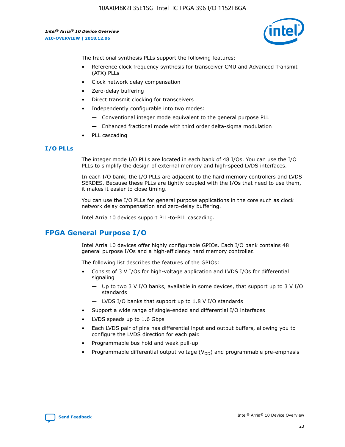

The fractional synthesis PLLs support the following features:

- Reference clock frequency synthesis for transceiver CMU and Advanced Transmit (ATX) PLLs
- Clock network delay compensation
- Zero-delay buffering
- Direct transmit clocking for transceivers
- Independently configurable into two modes:
	- Conventional integer mode equivalent to the general purpose PLL
	- Enhanced fractional mode with third order delta-sigma modulation
- PLL cascading

## **I/O PLLs**

The integer mode I/O PLLs are located in each bank of 48 I/Os. You can use the I/O PLLs to simplify the design of external memory and high-speed LVDS interfaces.

In each I/O bank, the I/O PLLs are adjacent to the hard memory controllers and LVDS SERDES. Because these PLLs are tightly coupled with the I/Os that need to use them, it makes it easier to close timing.

You can use the I/O PLLs for general purpose applications in the core such as clock network delay compensation and zero-delay buffering.

Intel Arria 10 devices support PLL-to-PLL cascading.

## **FPGA General Purpose I/O**

Intel Arria 10 devices offer highly configurable GPIOs. Each I/O bank contains 48 general purpose I/Os and a high-efficiency hard memory controller.

The following list describes the features of the GPIOs:

- Consist of 3 V I/Os for high-voltage application and LVDS I/Os for differential signaling
	- Up to two 3 V I/O banks, available in some devices, that support up to 3 V I/O standards
	- LVDS I/O banks that support up to 1.8 V I/O standards
- Support a wide range of single-ended and differential I/O interfaces
- LVDS speeds up to 1.6 Gbps
- Each LVDS pair of pins has differential input and output buffers, allowing you to configure the LVDS direction for each pair.
- Programmable bus hold and weak pull-up
- Programmable differential output voltage  $(V_{OD})$  and programmable pre-emphasis

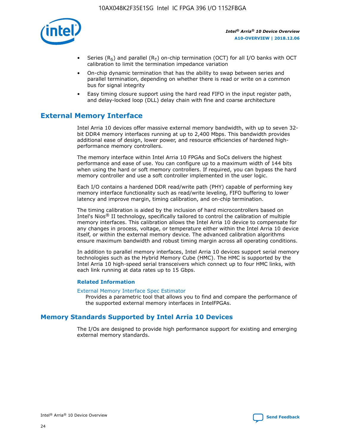

- Series (R<sub>S</sub>) and parallel (R<sub>T</sub>) on-chip termination (OCT) for all I/O banks with OCT calibration to limit the termination impedance variation
- On-chip dynamic termination that has the ability to swap between series and parallel termination, depending on whether there is read or write on a common bus for signal integrity
- Easy timing closure support using the hard read FIFO in the input register path, and delay-locked loop (DLL) delay chain with fine and coarse architecture

## **External Memory Interface**

Intel Arria 10 devices offer massive external memory bandwidth, with up to seven 32 bit DDR4 memory interfaces running at up to 2,400 Mbps. This bandwidth provides additional ease of design, lower power, and resource efficiencies of hardened highperformance memory controllers.

The memory interface within Intel Arria 10 FPGAs and SoCs delivers the highest performance and ease of use. You can configure up to a maximum width of 144 bits when using the hard or soft memory controllers. If required, you can bypass the hard memory controller and use a soft controller implemented in the user logic.

Each I/O contains a hardened DDR read/write path (PHY) capable of performing key memory interface functionality such as read/write leveling, FIFO buffering to lower latency and improve margin, timing calibration, and on-chip termination.

The timing calibration is aided by the inclusion of hard microcontrollers based on Intel's Nios® II technology, specifically tailored to control the calibration of multiple memory interfaces. This calibration allows the Intel Arria 10 device to compensate for any changes in process, voltage, or temperature either within the Intel Arria 10 device itself, or within the external memory device. The advanced calibration algorithms ensure maximum bandwidth and robust timing margin across all operating conditions.

In addition to parallel memory interfaces, Intel Arria 10 devices support serial memory technologies such as the Hybrid Memory Cube (HMC). The HMC is supported by the Intel Arria 10 high-speed serial transceivers which connect up to four HMC links, with each link running at data rates up to 15 Gbps.

## **Related Information**

#### [External Memory Interface Spec Estimator](http://www.altera.com/technology/memory/estimator/mem-emif-index.html)

Provides a parametric tool that allows you to find and compare the performance of the supported external memory interfaces in IntelFPGAs.

## **Memory Standards Supported by Intel Arria 10 Devices**

The I/Os are designed to provide high performance support for existing and emerging external memory standards.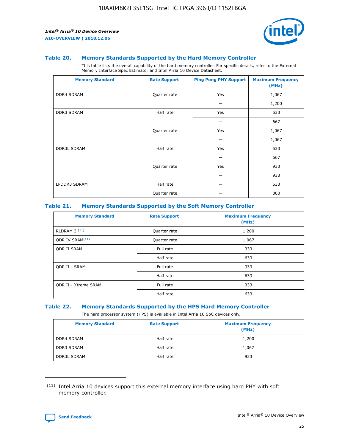

### **Table 20. Memory Standards Supported by the Hard Memory Controller**

This table lists the overall capability of the hard memory controller. For specific details, refer to the External Memory Interface Spec Estimator and Intel Arria 10 Device Datasheet.

| <b>Memory Standard</b> | <b>Rate Support</b> | <b>Ping Pong PHY Support</b> | <b>Maximum Frequency</b><br>(MHz) |
|------------------------|---------------------|------------------------------|-----------------------------------|
| <b>DDR4 SDRAM</b>      | Quarter rate        | Yes                          | 1,067                             |
|                        |                     |                              | 1,200                             |
| DDR3 SDRAM             | Half rate           | Yes                          | 533                               |
|                        |                     |                              | 667                               |
|                        | Quarter rate        | Yes                          | 1,067                             |
|                        |                     |                              | 1,067                             |
| <b>DDR3L SDRAM</b>     | Half rate           | Yes                          | 533                               |
|                        |                     |                              | 667                               |
|                        | Quarter rate        | Yes                          | 933                               |
|                        |                     |                              | 933                               |
| LPDDR3 SDRAM           | Half rate           |                              | 533                               |
|                        | Quarter rate        |                              | 800                               |

## **Table 21. Memory Standards Supported by the Soft Memory Controller**

| <b>Memory Standard</b>      | <b>Rate Support</b> | <b>Maximum Frequency</b><br>(MHz) |
|-----------------------------|---------------------|-----------------------------------|
| <b>RLDRAM 3 (11)</b>        | Quarter rate        | 1,200                             |
| ODR IV SRAM <sup>(11)</sup> | Quarter rate        | 1,067                             |
| <b>ODR II SRAM</b>          | Full rate           | 333                               |
|                             | Half rate           | 633                               |
| <b>ODR II+ SRAM</b>         | Full rate           | 333                               |
|                             | Half rate           | 633                               |
| <b>ODR II+ Xtreme SRAM</b>  | Full rate           | 333                               |
|                             | Half rate           | 633                               |

#### **Table 22. Memory Standards Supported by the HPS Hard Memory Controller**

The hard processor system (HPS) is available in Intel Arria 10 SoC devices only.

| <b>Memory Standard</b> | <b>Rate Support</b> | <b>Maximum Frequency</b><br>(MHz) |
|------------------------|---------------------|-----------------------------------|
| <b>DDR4 SDRAM</b>      | Half rate           | 1,200                             |
| DDR3 SDRAM             | Half rate           | 1,067                             |
| <b>DDR3L SDRAM</b>     | Half rate           | 933                               |

<sup>(11)</sup> Intel Arria 10 devices support this external memory interface using hard PHY with soft memory controller.

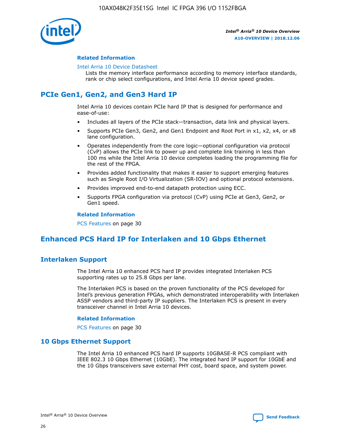

## **Related Information**

#### [Intel Arria 10 Device Datasheet](https://www.intel.com/content/www/us/en/programmable/documentation/mcn1413182292568.html#mcn1413182153340)

Lists the memory interface performance according to memory interface standards, rank or chip select configurations, and Intel Arria 10 device speed grades.

# **PCIe Gen1, Gen2, and Gen3 Hard IP**

Intel Arria 10 devices contain PCIe hard IP that is designed for performance and ease-of-use:

- Includes all layers of the PCIe stack—transaction, data link and physical layers.
- Supports PCIe Gen3, Gen2, and Gen1 Endpoint and Root Port in x1, x2, x4, or x8 lane configuration.
- Operates independently from the core logic—optional configuration via protocol (CvP) allows the PCIe link to power up and complete link training in less than 100 ms while the Intel Arria 10 device completes loading the programming file for the rest of the FPGA.
- Provides added functionality that makes it easier to support emerging features such as Single Root I/O Virtualization (SR-IOV) and optional protocol extensions.
- Provides improved end-to-end datapath protection using ECC.
- Supports FPGA configuration via protocol (CvP) using PCIe at Gen3, Gen2, or Gen1 speed.

#### **Related Information**

PCS Features on page 30

## **Enhanced PCS Hard IP for Interlaken and 10 Gbps Ethernet**

## **Interlaken Support**

The Intel Arria 10 enhanced PCS hard IP provides integrated Interlaken PCS supporting rates up to 25.8 Gbps per lane.

The Interlaken PCS is based on the proven functionality of the PCS developed for Intel's previous generation FPGAs, which demonstrated interoperability with Interlaken ASSP vendors and third-party IP suppliers. The Interlaken PCS is present in every transceiver channel in Intel Arria 10 devices.

## **Related Information**

PCS Features on page 30

## **10 Gbps Ethernet Support**

The Intel Arria 10 enhanced PCS hard IP supports 10GBASE-R PCS compliant with IEEE 802.3 10 Gbps Ethernet (10GbE). The integrated hard IP support for 10GbE and the 10 Gbps transceivers save external PHY cost, board space, and system power.

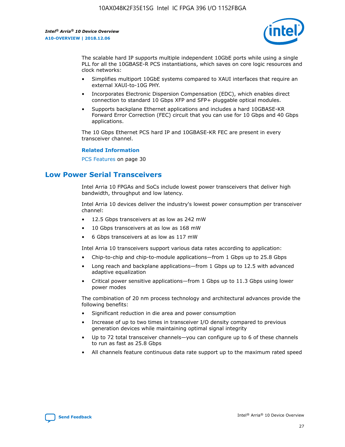

The scalable hard IP supports multiple independent 10GbE ports while using a single PLL for all the 10GBASE-R PCS instantiations, which saves on core logic resources and clock networks:

- Simplifies multiport 10GbE systems compared to XAUI interfaces that require an external XAUI-to-10G PHY.
- Incorporates Electronic Dispersion Compensation (EDC), which enables direct connection to standard 10 Gbps XFP and SFP+ pluggable optical modules.
- Supports backplane Ethernet applications and includes a hard 10GBASE-KR Forward Error Correction (FEC) circuit that you can use for 10 Gbps and 40 Gbps applications.

The 10 Gbps Ethernet PCS hard IP and 10GBASE-KR FEC are present in every transceiver channel.

## **Related Information**

PCS Features on page 30

## **Low Power Serial Transceivers**

Intel Arria 10 FPGAs and SoCs include lowest power transceivers that deliver high bandwidth, throughput and low latency.

Intel Arria 10 devices deliver the industry's lowest power consumption per transceiver channel:

- 12.5 Gbps transceivers at as low as 242 mW
- 10 Gbps transceivers at as low as 168 mW
- 6 Gbps transceivers at as low as 117 mW

Intel Arria 10 transceivers support various data rates according to application:

- Chip-to-chip and chip-to-module applications—from 1 Gbps up to 25.8 Gbps
- Long reach and backplane applications—from 1 Gbps up to 12.5 with advanced adaptive equalization
- Critical power sensitive applications—from 1 Gbps up to 11.3 Gbps using lower power modes

The combination of 20 nm process technology and architectural advances provide the following benefits:

- Significant reduction in die area and power consumption
- Increase of up to two times in transceiver I/O density compared to previous generation devices while maintaining optimal signal integrity
- Up to 72 total transceiver channels—you can configure up to 6 of these channels to run as fast as 25.8 Gbps
- All channels feature continuous data rate support up to the maximum rated speed

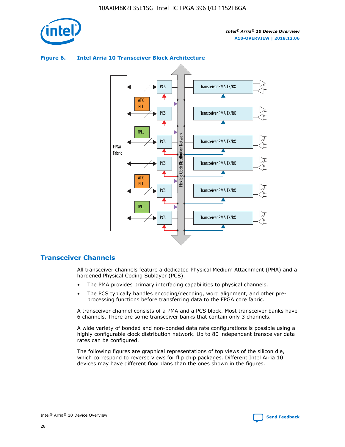





## **Transceiver Channels**

All transceiver channels feature a dedicated Physical Medium Attachment (PMA) and a hardened Physical Coding Sublayer (PCS).

- The PMA provides primary interfacing capabilities to physical channels.
- The PCS typically handles encoding/decoding, word alignment, and other preprocessing functions before transferring data to the FPGA core fabric.

A transceiver channel consists of a PMA and a PCS block. Most transceiver banks have 6 channels. There are some transceiver banks that contain only 3 channels.

A wide variety of bonded and non-bonded data rate configurations is possible using a highly configurable clock distribution network. Up to 80 independent transceiver data rates can be configured.

The following figures are graphical representations of top views of the silicon die, which correspond to reverse views for flip chip packages. Different Intel Arria 10 devices may have different floorplans than the ones shown in the figures.

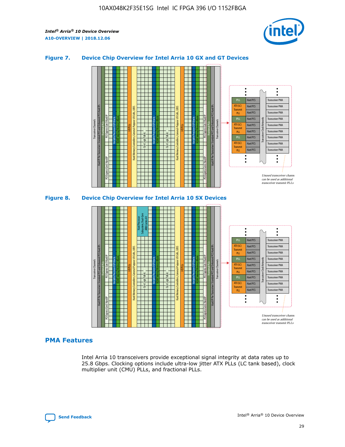

## **Figure 7. Device Chip Overview for Intel Arria 10 GX and GT Devices**





## **PMA Features**

Intel Arria 10 transceivers provide exceptional signal integrity at data rates up to 25.8 Gbps. Clocking options include ultra-low jitter ATX PLLs (LC tank based), clock multiplier unit (CMU) PLLs, and fractional PLLs.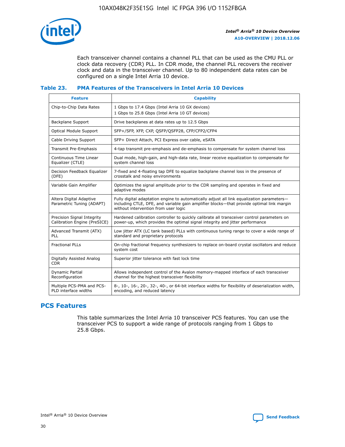

Each transceiver channel contains a channel PLL that can be used as the CMU PLL or clock data recovery (CDR) PLL. In CDR mode, the channel PLL recovers the receiver clock and data in the transceiver channel. Up to 80 independent data rates can be configured on a single Intel Arria 10 device.

## **Table 23. PMA Features of the Transceivers in Intel Arria 10 Devices**

| <b>Feature</b>                                             | <b>Capability</b>                                                                                                                                                                                                             |
|------------------------------------------------------------|-------------------------------------------------------------------------------------------------------------------------------------------------------------------------------------------------------------------------------|
| Chip-to-Chip Data Rates                                    | 1 Gbps to 17.4 Gbps (Intel Arria 10 GX devices)<br>1 Gbps to 25.8 Gbps (Intel Arria 10 GT devices)                                                                                                                            |
| Backplane Support                                          | Drive backplanes at data rates up to 12.5 Gbps                                                                                                                                                                                |
| <b>Optical Module Support</b>                              | SFP+/SFP, XFP, CXP, QSFP/QSFP28, CFP/CFP2/CFP4                                                                                                                                                                                |
| Cable Driving Support                                      | SFP+ Direct Attach, PCI Express over cable, eSATA                                                                                                                                                                             |
| Transmit Pre-Emphasis                                      | 4-tap transmit pre-emphasis and de-emphasis to compensate for system channel loss                                                                                                                                             |
| Continuous Time Linear<br>Equalizer (CTLE)                 | Dual mode, high-gain, and high-data rate, linear receive equalization to compensate for<br>system channel loss                                                                                                                |
| Decision Feedback Equalizer<br>(DFE)                       | 7-fixed and 4-floating tap DFE to equalize backplane channel loss in the presence of<br>crosstalk and noisy environments                                                                                                      |
| Variable Gain Amplifier                                    | Optimizes the signal amplitude prior to the CDR sampling and operates in fixed and<br>adaptive modes                                                                                                                          |
| Altera Digital Adaptive<br>Parametric Tuning (ADAPT)       | Fully digital adaptation engine to automatically adjust all link equalization parameters-<br>including CTLE, DFE, and variable gain amplifier blocks—that provide optimal link margin<br>without intervention from user logic |
| Precision Signal Integrity<br>Calibration Engine (PreSICE) | Hardened calibration controller to quickly calibrate all transceiver control parameters on<br>power-up, which provides the optimal signal integrity and jitter performance                                                    |
| Advanced Transmit (ATX)<br>PLL                             | Low jitter ATX (LC tank based) PLLs with continuous tuning range to cover a wide range of<br>standard and proprietary protocols                                                                                               |
| <b>Fractional PLLs</b>                                     | On-chip fractional frequency synthesizers to replace on-board crystal oscillators and reduce<br>system cost                                                                                                                   |
| Digitally Assisted Analog<br><b>CDR</b>                    | Superior jitter tolerance with fast lock time                                                                                                                                                                                 |
| Dynamic Partial<br>Reconfiguration                         | Allows independent control of the Avalon memory-mapped interface of each transceiver<br>channel for the highest transceiver flexibility                                                                                       |
| Multiple PCS-PMA and PCS-<br>PLD interface widths          | 8-, 10-, 16-, 20-, 32-, 40-, or 64-bit interface widths for flexibility of deserialization width,<br>encoding, and reduced latency                                                                                            |

## **PCS Features**

This table summarizes the Intel Arria 10 transceiver PCS features. You can use the transceiver PCS to support a wide range of protocols ranging from 1 Gbps to 25.8 Gbps.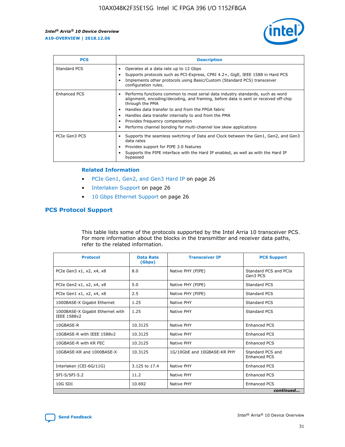

| <b>PCS</b>          | <b>Description</b>                                                                                                                                                                                                                                                                                                                                                                                             |
|---------------------|----------------------------------------------------------------------------------------------------------------------------------------------------------------------------------------------------------------------------------------------------------------------------------------------------------------------------------------------------------------------------------------------------------------|
| Standard PCS        | Operates at a data rate up to 12 Gbps<br>Supports protocols such as PCI-Express, CPRI 4.2+, GigE, IEEE 1588 in Hard PCS<br>Implements other protocols using Basic/Custom (Standard PCS) transceiver<br>configuration rules.                                                                                                                                                                                    |
| <b>Enhanced PCS</b> | Performs functions common to most serial data industry standards, such as word<br>alignment, encoding/decoding, and framing, before data is sent or received off-chip<br>through the PMA<br>• Handles data transfer to and from the FPGA fabric<br>Handles data transfer internally to and from the PMA<br>Provides frequency compensation<br>Performs channel bonding for multi-channel low skew applications |
| PCIe Gen3 PCS       | Supports the seamless switching of Data and Clock between the Gen1, Gen2, and Gen3<br>data rates<br>Provides support for PIPE 3.0 features<br>Supports the PIPE interface with the Hard IP enabled, as well as with the Hard IP<br>bypassed                                                                                                                                                                    |

#### **Related Information**

- PCIe Gen1, Gen2, and Gen3 Hard IP on page 26
- Interlaken Support on page 26
- 10 Gbps Ethernet Support on page 26

## **PCS Protocol Support**

This table lists some of the protocols supported by the Intel Arria 10 transceiver PCS. For more information about the blocks in the transmitter and receiver data paths, refer to the related information.

| <b>Protocol</b>                                 | <b>Data Rate</b><br>(Gbps) | <b>Transceiver IP</b>       | <b>PCS Support</b>                      |
|-------------------------------------------------|----------------------------|-----------------------------|-----------------------------------------|
| PCIe Gen3 x1, x2, x4, x8                        | 8.0                        | Native PHY (PIPE)           | Standard PCS and PCIe<br>Gen3 PCS       |
| PCIe Gen2 x1, x2, x4, x8                        | 5.0                        | Native PHY (PIPE)           | <b>Standard PCS</b>                     |
| PCIe Gen1 x1, x2, x4, x8                        | 2.5                        | Native PHY (PIPE)           | Standard PCS                            |
| 1000BASE-X Gigabit Ethernet                     | 1.25                       | Native PHY                  | <b>Standard PCS</b>                     |
| 1000BASE-X Gigabit Ethernet with<br>IEEE 1588v2 | 1.25                       | Native PHY                  | Standard PCS                            |
| 10GBASE-R                                       | 10.3125                    | Native PHY                  | <b>Enhanced PCS</b>                     |
| 10GBASE-R with IEEE 1588v2                      | 10.3125                    | Native PHY                  | <b>Enhanced PCS</b>                     |
| 10GBASE-R with KR FEC                           | 10.3125                    | Native PHY                  | <b>Enhanced PCS</b>                     |
| 10GBASE-KR and 1000BASE-X                       | 10.3125                    | 1G/10GbE and 10GBASE-KR PHY | Standard PCS and<br><b>Enhanced PCS</b> |
| Interlaken (CEI-6G/11G)                         | 3.125 to 17.4              | Native PHY                  | <b>Enhanced PCS</b>                     |
| SFI-S/SFI-5.2                                   | 11.2                       | Native PHY                  | <b>Enhanced PCS</b>                     |
| $10G$ SDI                                       | 10.692                     | Native PHY                  | <b>Enhanced PCS</b>                     |
|                                                 |                            |                             | continued                               |

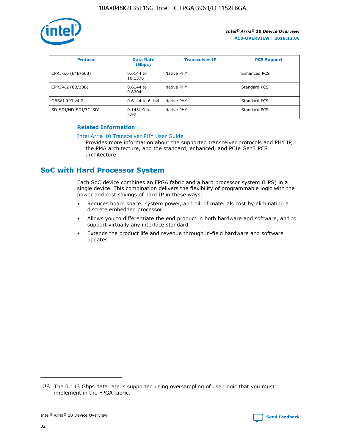

| <b>Protocol</b>      | <b>Data Rate</b><br>(Gbps) | <b>Transceiver IP</b> | <b>PCS Support</b> |
|----------------------|----------------------------|-----------------------|--------------------|
| CPRI 6.0 (64B/66B)   | 0.6144 to<br>10.1376       | Native PHY            | Enhanced PCS       |
| CPRI 4.2 (8B/10B)    | $0.6144$ to<br>9.8304      | Native PHY            | Standard PCS       |
| OBSAI RP3 v4.2       | 0.6144 to 6.144            | Native PHY            | Standard PCS       |
| SD-SDI/HD-SDI/3G-SDI | $0.143(12)$ to<br>2.97     | Native PHY            | Standard PCS       |

## **Related Information**

#### [Intel Arria 10 Transceiver PHY User Guide](https://www.intel.com/content/www/us/en/programmable/documentation/nik1398707230472.html#nik1398707091164)

Provides more information about the supported transceiver protocols and PHY IP, the PMA architecture, and the standard, enhanced, and PCIe Gen3 PCS architecture.

## **SoC with Hard Processor System**

Each SoC device combines an FPGA fabric and a hard processor system (HPS) in a single device. This combination delivers the flexibility of programmable logic with the power and cost savings of hard IP in these ways:

- Reduces board space, system power, and bill of materials cost by eliminating a discrete embedded processor
- Allows you to differentiate the end product in both hardware and software, and to support virtually any interface standard
- Extends the product life and revenue through in-field hardware and software updates

 $(12)$  The 0.143 Gbps data rate is supported using oversampling of user logic that you must implement in the FPGA fabric.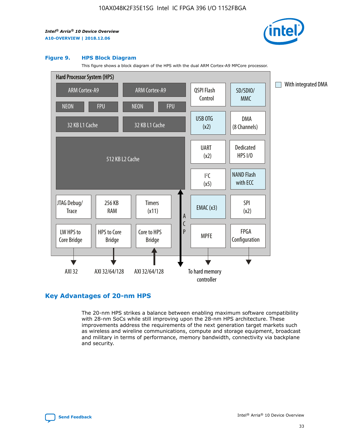

### **Figure 9. HPS Block Diagram**

This figure shows a block diagram of the HPS with the dual ARM Cortex-A9 MPCore processor.



## **Key Advantages of 20-nm HPS**

The 20-nm HPS strikes a balance between enabling maximum software compatibility with 28-nm SoCs while still improving upon the 28-nm HPS architecture. These improvements address the requirements of the next generation target markets such as wireless and wireline communications, compute and storage equipment, broadcast and military in terms of performance, memory bandwidth, connectivity via backplane and security.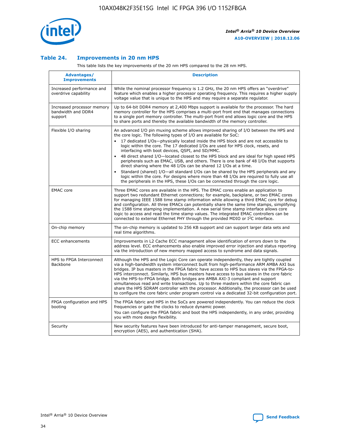

## **Table 24. Improvements in 20 nm HPS**

This table lists the key improvements of the 20 nm HPS compared to the 28 nm HPS.

| Advantages/<br><b>Improvements</b>                          | <b>Description</b>                                                                                                                                                                                                                                                                                                                                                                                                                                                                                                                                                                                                                                                                                                                                                                                                                                                                                                                                |
|-------------------------------------------------------------|---------------------------------------------------------------------------------------------------------------------------------------------------------------------------------------------------------------------------------------------------------------------------------------------------------------------------------------------------------------------------------------------------------------------------------------------------------------------------------------------------------------------------------------------------------------------------------------------------------------------------------------------------------------------------------------------------------------------------------------------------------------------------------------------------------------------------------------------------------------------------------------------------------------------------------------------------|
| Increased performance and<br>overdrive capability           | While the nominal processor frequency is 1.2 GHz, the 20 nm HPS offers an "overdrive"<br>feature which enables a higher processor operating frequency. This requires a higher supply<br>voltage value that is unique to the HPS and may require a separate regulator.                                                                                                                                                                                                                                                                                                                                                                                                                                                                                                                                                                                                                                                                             |
| Increased processor memory<br>bandwidth and DDR4<br>support | Up to 64-bit DDR4 memory at 2,400 Mbps support is available for the processor. The hard<br>memory controller for the HPS comprises a multi-port front end that manages connections<br>to a single port memory controller. The multi-port front end allows logic core and the HPS<br>to share ports and thereby the available bandwidth of the memory controller.                                                                                                                                                                                                                                                                                                                                                                                                                                                                                                                                                                                  |
| Flexible I/O sharing                                        | An advanced I/O pin muxing scheme allows improved sharing of I/O between the HPS and<br>the core logic. The following types of I/O are available for SoC:<br>$\bullet$<br>17 dedicated I/Os-physically located inside the HPS block and are not accessible to<br>logic within the core. The 17 dedicated I/Os are used for HPS clock, resets, and<br>interfacing with boot devices, QSPI, and SD/MMC.<br>48 direct shared I/O-located closest to the HPS block and are ideal for high speed HPS<br>$\bullet$<br>peripherals such as EMAC, USB, and others. There is one bank of 48 I/Os that supports<br>direct sharing where the 48 I/Os can be shared 12 I/Os at a time.<br>Standard (shared) I/O-all standard I/Os can be shared by the HPS peripherals and any<br>logic within the core. For designs where more than 48 I/Os are required to fully use all<br>the peripherals in the HPS, these I/Os can be connected through the core logic. |
| <b>EMAC</b> core                                            | Three EMAC cores are available in the HPS. The EMAC cores enable an application to<br>support two redundant Ethernet connections; for example, backplane, or two EMAC cores<br>for managing IEEE 1588 time stamp information while allowing a third EMAC core for debug<br>and configuration. All three EMACs can potentially share the same time stamps, simplifying<br>the 1588 time stamping implementation. A new serial time stamp interface allows core<br>logic to access and read the time stamp values. The integrated EMAC controllers can be<br>connected to external Ethernet PHY through the provided MDIO or I <sup>2</sup> C interface.                                                                                                                                                                                                                                                                                            |
| On-chip memory                                              | The on-chip memory is updated to 256 KB support and can support larger data sets and<br>real time algorithms.                                                                                                                                                                                                                                                                                                                                                                                                                                                                                                                                                                                                                                                                                                                                                                                                                                     |
| <b>ECC</b> enhancements                                     | Improvements in L2 Cache ECC management allow identification of errors down to the<br>address level. ECC enhancements also enable improved error injection and status reporting<br>via the introduction of new memory mapped access to syndrome and data signals.                                                                                                                                                                                                                                                                                                                                                                                                                                                                                                                                                                                                                                                                                 |
| HPS to FPGA Interconnect<br>Backbone                        | Although the HPS and the Logic Core can operate independently, they are tightly coupled<br>via a high-bandwidth system interconnect built from high-performance ARM AMBA AXI bus<br>bridges. IP bus masters in the FPGA fabric have access to HPS bus slaves via the FPGA-to-<br>HPS interconnect. Similarly, HPS bus masters have access to bus slaves in the core fabric<br>via the HPS-to-FPGA bridge. Both bridges are AMBA AXI-3 compliant and support<br>simultaneous read and write transactions. Up to three masters within the core fabric can<br>share the HPS SDRAM controller with the processor. Additionally, the processor can be used<br>to configure the core fabric under program control via a dedicated 32-bit configuration port.                                                                                                                                                                                            |
| FPGA configuration and HPS<br>booting                       | The FPGA fabric and HPS in the SoCs are powered independently. You can reduce the clock<br>frequencies or gate the clocks to reduce dynamic power.<br>You can configure the FPGA fabric and boot the HPS independently, in any order, providing<br>you with more design flexibility.                                                                                                                                                                                                                                                                                                                                                                                                                                                                                                                                                                                                                                                              |
| Security                                                    | New security features have been introduced for anti-tamper management, secure boot,<br>encryption (AES), and authentication (SHA).                                                                                                                                                                                                                                                                                                                                                                                                                                                                                                                                                                                                                                                                                                                                                                                                                |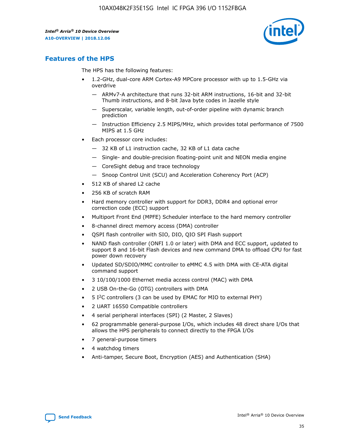

## **Features of the HPS**

The HPS has the following features:

- 1.2-GHz, dual-core ARM Cortex-A9 MPCore processor with up to 1.5-GHz via overdrive
	- ARMv7-A architecture that runs 32-bit ARM instructions, 16-bit and 32-bit Thumb instructions, and 8-bit Java byte codes in Jazelle style
	- Superscalar, variable length, out-of-order pipeline with dynamic branch prediction
	- Instruction Efficiency 2.5 MIPS/MHz, which provides total performance of 7500 MIPS at 1.5 GHz
- Each processor core includes:
	- 32 KB of L1 instruction cache, 32 KB of L1 data cache
	- Single- and double-precision floating-point unit and NEON media engine
	- CoreSight debug and trace technology
	- Snoop Control Unit (SCU) and Acceleration Coherency Port (ACP)
- 512 KB of shared L2 cache
- 256 KB of scratch RAM
- Hard memory controller with support for DDR3, DDR4 and optional error correction code (ECC) support
- Multiport Front End (MPFE) Scheduler interface to the hard memory controller
- 8-channel direct memory access (DMA) controller
- QSPI flash controller with SIO, DIO, QIO SPI Flash support
- NAND flash controller (ONFI 1.0 or later) with DMA and ECC support, updated to support 8 and 16-bit Flash devices and new command DMA to offload CPU for fast power down recovery
- Updated SD/SDIO/MMC controller to eMMC 4.5 with DMA with CE-ATA digital command support
- 3 10/100/1000 Ethernet media access control (MAC) with DMA
- 2 USB On-the-Go (OTG) controllers with DMA
- $\bullet$  5 I<sup>2</sup>C controllers (3 can be used by EMAC for MIO to external PHY)
- 2 UART 16550 Compatible controllers
- 4 serial peripheral interfaces (SPI) (2 Master, 2 Slaves)
- 62 programmable general-purpose I/Os, which includes 48 direct share I/Os that allows the HPS peripherals to connect directly to the FPGA I/Os
- 7 general-purpose timers
- 4 watchdog timers
- Anti-tamper, Secure Boot, Encryption (AES) and Authentication (SHA)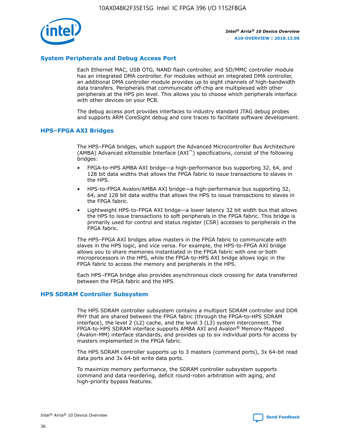

## **System Peripherals and Debug Access Port**

Each Ethernet MAC, USB OTG, NAND flash controller, and SD/MMC controller module has an integrated DMA controller. For modules without an integrated DMA controller, an additional DMA controller module provides up to eight channels of high-bandwidth data transfers. Peripherals that communicate off-chip are multiplexed with other peripherals at the HPS pin level. This allows you to choose which peripherals interface with other devices on your PCB.

The debug access port provides interfaces to industry standard JTAG debug probes and supports ARM CoreSight debug and core traces to facilitate software development.

### **HPS–FPGA AXI Bridges**

The HPS–FPGA bridges, which support the Advanced Microcontroller Bus Architecture (AMBA) Advanced eXtensible Interface (AXI™) specifications, consist of the following bridges:

- FPGA-to-HPS AMBA AXI bridge—a high-performance bus supporting 32, 64, and 128 bit data widths that allows the FPGA fabric to issue transactions to slaves in the HPS.
- HPS-to-FPGA Avalon/AMBA AXI bridge—a high-performance bus supporting 32, 64, and 128 bit data widths that allows the HPS to issue transactions to slaves in the FPGA fabric.
- Lightweight HPS-to-FPGA AXI bridge—a lower latency 32 bit width bus that allows the HPS to issue transactions to soft peripherals in the FPGA fabric. This bridge is primarily used for control and status register (CSR) accesses to peripherals in the FPGA fabric.

The HPS–FPGA AXI bridges allow masters in the FPGA fabric to communicate with slaves in the HPS logic, and vice versa. For example, the HPS-to-FPGA AXI bridge allows you to share memories instantiated in the FPGA fabric with one or both microprocessors in the HPS, while the FPGA-to-HPS AXI bridge allows logic in the FPGA fabric to access the memory and peripherals in the HPS.

Each HPS–FPGA bridge also provides asynchronous clock crossing for data transferred between the FPGA fabric and the HPS.

#### **HPS SDRAM Controller Subsystem**

The HPS SDRAM controller subsystem contains a multiport SDRAM controller and DDR PHY that are shared between the FPGA fabric (through the FPGA-to-HPS SDRAM interface), the level 2 (L2) cache, and the level 3 (L3) system interconnect. The FPGA-to-HPS SDRAM interface supports AMBA AXI and Avalon® Memory-Mapped (Avalon-MM) interface standards, and provides up to six individual ports for access by masters implemented in the FPGA fabric.

The HPS SDRAM controller supports up to 3 masters (command ports), 3x 64-bit read data ports and 3x 64-bit write data ports.

To maximize memory performance, the SDRAM controller subsystem supports command and data reordering, deficit round-robin arbitration with aging, and high-priority bypass features.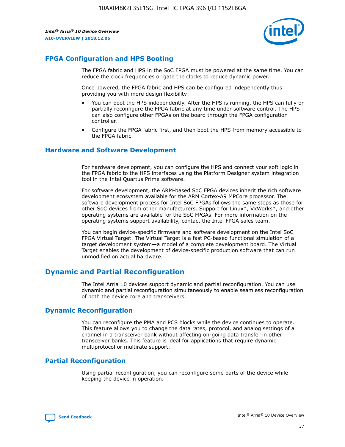

## **FPGA Configuration and HPS Booting**

The FPGA fabric and HPS in the SoC FPGA must be powered at the same time. You can reduce the clock frequencies or gate the clocks to reduce dynamic power.

Once powered, the FPGA fabric and HPS can be configured independently thus providing you with more design flexibility:

- You can boot the HPS independently. After the HPS is running, the HPS can fully or partially reconfigure the FPGA fabric at any time under software control. The HPS can also configure other FPGAs on the board through the FPGA configuration controller.
- Configure the FPGA fabric first, and then boot the HPS from memory accessible to the FPGA fabric.

## **Hardware and Software Development**

For hardware development, you can configure the HPS and connect your soft logic in the FPGA fabric to the HPS interfaces using the Platform Designer system integration tool in the Intel Quartus Prime software.

For software development, the ARM-based SoC FPGA devices inherit the rich software development ecosystem available for the ARM Cortex-A9 MPCore processor. The software development process for Intel SoC FPGAs follows the same steps as those for other SoC devices from other manufacturers. Support for Linux\*, VxWorks\*, and other operating systems are available for the SoC FPGAs. For more information on the operating systems support availability, contact the Intel FPGA sales team.

You can begin device-specific firmware and software development on the Intel SoC FPGA Virtual Target. The Virtual Target is a fast PC-based functional simulation of a target development system—a model of a complete development board. The Virtual Target enables the development of device-specific production software that can run unmodified on actual hardware.

## **Dynamic and Partial Reconfiguration**

The Intel Arria 10 devices support dynamic and partial reconfiguration. You can use dynamic and partial reconfiguration simultaneously to enable seamless reconfiguration of both the device core and transceivers.

## **Dynamic Reconfiguration**

You can reconfigure the PMA and PCS blocks while the device continues to operate. This feature allows you to change the data rates, protocol, and analog settings of a channel in a transceiver bank without affecting on-going data transfer in other transceiver banks. This feature is ideal for applications that require dynamic multiprotocol or multirate support.

## **Partial Reconfiguration**

Using partial reconfiguration, you can reconfigure some parts of the device while keeping the device in operation.

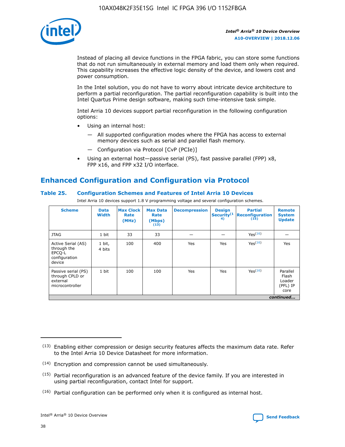

Instead of placing all device functions in the FPGA fabric, you can store some functions that do not run simultaneously in external memory and load them only when required. This capability increases the effective logic density of the device, and lowers cost and power consumption.

In the Intel solution, you do not have to worry about intricate device architecture to perform a partial reconfiguration. The partial reconfiguration capability is built into the Intel Quartus Prime design software, making such time-intensive task simple.

Intel Arria 10 devices support partial reconfiguration in the following configuration options:

- Using an internal host:
	- All supported configuration modes where the FPGA has access to external memory devices such as serial and parallel flash memory.
	- Configuration via Protocol [CvP (PCIe)]
- Using an external host—passive serial (PS), fast passive parallel (FPP) x8, FPP x16, and FPP x32 I/O interface.

# **Enhanced Configuration and Configuration via Protocol**

## **Table 25. Configuration Schemes and Features of Intel Arria 10 Devices**

Intel Arria 10 devices support 1.8 V programming voltage and several configuration schemes.

| <b>Scheme</b>                                                          | <b>Data</b><br><b>Width</b> | <b>Max Clock</b><br>Rate<br>(MHz) | <b>Max Data</b><br>Rate<br>(Mbps)<br>(13) | <b>Decompression</b> | <b>Design</b><br>Security <sup>(1</sup><br>4) | <b>Partial</b><br>Reconfiguration<br>(15) | <b>Remote</b><br><b>System</b><br><b>Update</b> |
|------------------------------------------------------------------------|-----------------------------|-----------------------------------|-------------------------------------------|----------------------|-----------------------------------------------|-------------------------------------------|-------------------------------------------------|
| <b>JTAG</b>                                                            | 1 bit                       | 33                                | 33                                        |                      |                                               | Yes <sup>(16)</sup>                       |                                                 |
| Active Serial (AS)<br>through the<br>EPCO-L<br>configuration<br>device | 1 bit,<br>4 bits            | 100                               | 400                                       | Yes                  | Yes                                           | $Y_{PS}(16)$                              | Yes                                             |
| Passive serial (PS)<br>through CPLD or<br>external<br>microcontroller  | 1 bit                       | 100                               | 100                                       | Yes                  | Yes                                           | Yes(16)                                   | Parallel<br>Flash<br>Loader<br>(PFL) IP<br>core |
|                                                                        |                             |                                   |                                           |                      |                                               |                                           | continued                                       |

<sup>(13)</sup> Enabling either compression or design security features affects the maximum data rate. Refer to the Intel Arria 10 Device Datasheet for more information.

<sup>(14)</sup> Encryption and compression cannot be used simultaneously.

 $<sup>(15)</sup>$  Partial reconfiguration is an advanced feature of the device family. If you are interested in</sup> using partial reconfiguration, contact Intel for support.

 $(16)$  Partial configuration can be performed only when it is configured as internal host.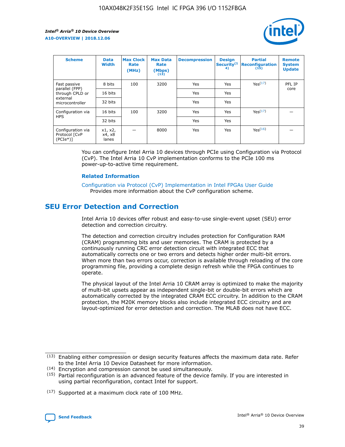

| <b>Scheme</b>                                   | <b>Data</b><br><b>Width</b> | <b>Max Clock</b><br>Rate<br>(MHz) | <b>Max Data</b><br>Rate<br>(Mbps)<br>(13) | <b>Decompression</b> | <b>Design</b><br>Security <sup>(1</sup><br>4) | <b>Partial</b><br><b>Reconfiguration</b><br>(15) | <b>Remote</b><br><b>System</b><br><b>Update</b> |
|-------------------------------------------------|-----------------------------|-----------------------------------|-------------------------------------------|----------------------|-----------------------------------------------|--------------------------------------------------|-------------------------------------------------|
| Fast passive                                    | 8 bits                      | 100                               | 3200                                      | Yes                  | Yes                                           | Yes(17)                                          | PFL IP                                          |
| parallel (FPP)<br>through CPLD or               | 16 bits                     |                                   |                                           | Yes                  | Yes                                           |                                                  | core                                            |
| external<br>microcontroller                     | 32 bits                     |                                   |                                           | Yes                  | Yes                                           |                                                  |                                                 |
| Configuration via                               | 16 bits                     | 100                               | 3200                                      | Yes                  | Yes                                           | Yes <sup>(17)</sup>                              |                                                 |
| <b>HPS</b>                                      | 32 bits                     |                                   |                                           | Yes                  | Yes                                           |                                                  |                                                 |
| Configuration via<br>Protocol [CvP<br>$(PCIe*)$ | x1, x2,<br>x4, x8<br>lanes  |                                   | 8000                                      | Yes                  | Yes                                           | Yes <sup>(16)</sup>                              |                                                 |

You can configure Intel Arria 10 devices through PCIe using Configuration via Protocol (CvP). The Intel Arria 10 CvP implementation conforms to the PCIe 100 ms power-up-to-active time requirement.

#### **Related Information**

[Configuration via Protocol \(CvP\) Implementation in Intel FPGAs User Guide](https://www.intel.com/content/www/us/en/programmable/documentation/dsu1441819344145.html#dsu1442269728522) Provides more information about the CvP configuration scheme.

## **SEU Error Detection and Correction**

Intel Arria 10 devices offer robust and easy-to-use single-event upset (SEU) error detection and correction circuitry.

The detection and correction circuitry includes protection for Configuration RAM (CRAM) programming bits and user memories. The CRAM is protected by a continuously running CRC error detection circuit with integrated ECC that automatically corrects one or two errors and detects higher order multi-bit errors. When more than two errors occur, correction is available through reloading of the core programming file, providing a complete design refresh while the FPGA continues to operate.

The physical layout of the Intel Arria 10 CRAM array is optimized to make the majority of multi-bit upsets appear as independent single-bit or double-bit errors which are automatically corrected by the integrated CRAM ECC circuitry. In addition to the CRAM protection, the M20K memory blocks also include integrated ECC circuitry and are layout-optimized for error detection and correction. The MLAB does not have ECC.

(14) Encryption and compression cannot be used simultaneously.

<sup>(17)</sup> Supported at a maximum clock rate of 100 MHz.



 $(13)$  Enabling either compression or design security features affects the maximum data rate. Refer to the Intel Arria 10 Device Datasheet for more information.

 $(15)$  Partial reconfiguration is an advanced feature of the device family. If you are interested in using partial reconfiguration, contact Intel for support.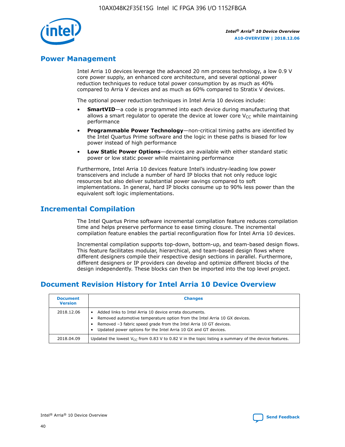

## **Power Management**

Intel Arria 10 devices leverage the advanced 20 nm process technology, a low 0.9 V core power supply, an enhanced core architecture, and several optional power reduction techniques to reduce total power consumption by as much as 40% compared to Arria V devices and as much as 60% compared to Stratix V devices.

The optional power reduction techniques in Intel Arria 10 devices include:

- **SmartVID**—a code is programmed into each device during manufacturing that allows a smart regulator to operate the device at lower core  $V_{CC}$  while maintaining performance
- **Programmable Power Technology**—non-critical timing paths are identified by the Intel Quartus Prime software and the logic in these paths is biased for low power instead of high performance
- **Low Static Power Options**—devices are available with either standard static power or low static power while maintaining performance

Furthermore, Intel Arria 10 devices feature Intel's industry-leading low power transceivers and include a number of hard IP blocks that not only reduce logic resources but also deliver substantial power savings compared to soft implementations. In general, hard IP blocks consume up to 90% less power than the equivalent soft logic implementations.

## **Incremental Compilation**

The Intel Quartus Prime software incremental compilation feature reduces compilation time and helps preserve performance to ease timing closure. The incremental compilation feature enables the partial reconfiguration flow for Intel Arria 10 devices.

Incremental compilation supports top-down, bottom-up, and team-based design flows. This feature facilitates modular, hierarchical, and team-based design flows where different designers compile their respective design sections in parallel. Furthermore, different designers or IP providers can develop and optimize different blocks of the design independently. These blocks can then be imported into the top level project.

# **Document Revision History for Intel Arria 10 Device Overview**

| <b>Document</b><br><b>Version</b> | <b>Changes</b>                                                                                                                                                                                                                                                              |
|-----------------------------------|-----------------------------------------------------------------------------------------------------------------------------------------------------------------------------------------------------------------------------------------------------------------------------|
| 2018.12.06                        | Added links to Intel Arria 10 device errata documents.<br>Removed automotive temperature option from the Intel Arria 10 GX devices.<br>Removed -3 fabric speed grade from the Intel Arria 10 GT devices.<br>Updated power options for the Intel Arria 10 GX and GT devices. |
| 2018.04.09                        | Updated the lowest $V_{CC}$ from 0.83 V to 0.82 V in the topic listing a summary of the device features.                                                                                                                                                                    |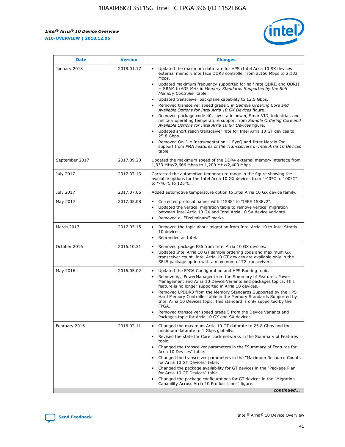

| <b>Date</b>    | <b>Version</b> | <b>Changes</b>                                                                                                                                                                                                                                                                                                                                                                                                                                                                                                                                                                                                                                                                                                                                                                                                                                                                                                                                               |
|----------------|----------------|--------------------------------------------------------------------------------------------------------------------------------------------------------------------------------------------------------------------------------------------------------------------------------------------------------------------------------------------------------------------------------------------------------------------------------------------------------------------------------------------------------------------------------------------------------------------------------------------------------------------------------------------------------------------------------------------------------------------------------------------------------------------------------------------------------------------------------------------------------------------------------------------------------------------------------------------------------------|
| January 2018   | 2018.01.17     | Updated the maximum data rate for HPS (Intel Arria 10 SX devices<br>external memory interface DDR3 controller from 2,166 Mbps to 2,133<br>Mbps.<br>Updated maximum frequency supported for half rate QDRII and QDRII<br>+ SRAM to 633 MHz in Memory Standards Supported by the Soft<br>Memory Controller table.<br>Updated transceiver backplane capability to 12.5 Gbps.<br>Removed transceiver speed grade 5 in Sample Ordering Core and<br>Available Options for Intel Arria 10 GX Devices figure.<br>Removed package code 40, low static power, SmartVID, industrial, and<br>military operating temperature support from Sample Ordering Core and<br>Available Options for Intel Arria 10 GT Devices figure.<br>Updated short reach transceiver rate for Intel Arria 10 GT devices to<br>25.8 Gbps.<br>Removed On-Die Instrumentation - EyeQ and Jitter Margin Tool<br>support from PMA Features of the Transceivers in Intel Arria 10 Devices<br>table. |
| September 2017 | 2017.09.20     | Updated the maximum speed of the DDR4 external memory interface from<br>1,333 MHz/2,666 Mbps to 1,200 MHz/2,400 Mbps.                                                                                                                                                                                                                                                                                                                                                                                                                                                                                                                                                                                                                                                                                                                                                                                                                                        |
| July 2017      | 2017.07.13     | Corrected the automotive temperature range in the figure showing the<br>available options for the Intel Arria 10 GX devices from "-40°C to 100°C"<br>to "-40°C to 125°C".                                                                                                                                                                                                                                                                                                                                                                                                                                                                                                                                                                                                                                                                                                                                                                                    |
| July 2017      | 2017.07.06     | Added automotive temperature option to Intel Arria 10 GX device family.                                                                                                                                                                                                                                                                                                                                                                                                                                                                                                                                                                                                                                                                                                                                                                                                                                                                                      |
| May 2017       | 2017.05.08     | Corrected protocol names with "1588" to "IEEE 1588v2".<br>Updated the vertical migration table to remove vertical migration<br>$\bullet$<br>between Intel Arria 10 GX and Intel Arria 10 SX device variants.<br>Removed all "Preliminary" marks.                                                                                                                                                                                                                                                                                                                                                                                                                                                                                                                                                                                                                                                                                                             |
| March 2017     | 2017.03.15     | Removed the topic about migration from Intel Arria 10 to Intel Stratix<br>10 devices.<br>Rebranded as Intel.<br>$\bullet$                                                                                                                                                                                                                                                                                                                                                                                                                                                                                                                                                                                                                                                                                                                                                                                                                                    |
| October 2016   | 2016.10.31     | Removed package F36 from Intel Arria 10 GX devices.<br>Updated Intel Arria 10 GT sample ordering code and maximum GX<br>$\bullet$<br>transceiver count. Intel Arria 10 GT devices are available only in the<br>SF45 package option with a maximum of 72 transceivers.                                                                                                                                                                                                                                                                                                                                                                                                                                                                                                                                                                                                                                                                                        |
| May 2016       | 2016.05.02     | Updated the FPGA Configuration and HPS Booting topic.<br>$\bullet$<br>Remove V <sub>CC</sub> PowerManager from the Summary of Features, Power<br>Management and Arria 10 Device Variants and packages topics. This<br>feature is no longer supported in Arria 10 devices.<br>Removed LPDDR3 from the Memory Standards Supported by the HPS<br>Hard Memory Controller table in the Memory Standards Supported by<br>Intel Arria 10 Devices topic. This standard is only supported by the<br>FPGA.<br>Removed transceiver speed grade 5 from the Device Variants and<br>Packages topic for Arria 10 GX and SX devices.                                                                                                                                                                                                                                                                                                                                         |
| February 2016  | 2016.02.11     | Changed the maximum Arria 10 GT datarate to 25.8 Gbps and the<br>minimum datarate to 1 Gbps globally.<br>Revised the state for Core clock networks in the Summary of Features<br>topic.<br>Changed the transceiver parameters in the "Summary of Features for<br>Arria 10 Devices" table.<br>Changed the transceiver parameters in the "Maximum Resource Counts"<br>for Arria 10 GT Devices" table.<br>Changed the package availability for GT devices in the "Package Plan<br>for Arria 10 GT Devices" table.<br>Changed the package configurations for GT devices in the "Migration"<br>Capability Across Arria 10 Product Lines" figure.<br>continued                                                                                                                                                                                                                                                                                                     |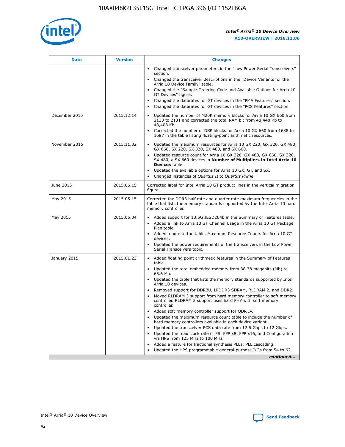

| <b>Date</b>   | <b>Version</b> | <b>Changes</b>                                                                                                                                                               |
|---------------|----------------|------------------------------------------------------------------------------------------------------------------------------------------------------------------------------|
|               |                | • Changed transceiver parameters in the "Low Power Serial Transceivers"<br>section.                                                                                          |
|               |                | • Changed the transceiver descriptions in the "Device Variants for the<br>Arria 10 Device Family" table.                                                                     |
|               |                | Changed the "Sample Ordering Code and Available Options for Arria 10<br>$\bullet$<br>GT Devices" figure.                                                                     |
|               |                | Changed the datarates for GT devices in the "PMA Features" section.                                                                                                          |
|               |                | Changed the datarates for GT devices in the "PCS Features" section.<br>$\bullet$                                                                                             |
| December 2015 | 2015.12.14     | Updated the number of M20K memory blocks for Arria 10 GX 660 from<br>2133 to 2131 and corrected the total RAM bit from 48,448 Kb to<br>48,408 Kb.                            |
|               |                | Corrected the number of DSP blocks for Arria 10 GX 660 from 1688 to<br>1687 in the table listing floating-point arithmetic resources.                                        |
| November 2015 | 2015.11.02     | Updated the maximum resources for Arria 10 GX 220, GX 320, GX 480,<br>$\bullet$<br>GX 660, SX 220, SX 320, SX 480, and SX 660.                                               |
|               |                | • Updated resource count for Arria 10 GX 320, GX 480, GX 660, SX 320,<br>SX 480, a SX 660 devices in Number of Multipliers in Intel Arria 10<br><b>Devices</b> table.        |
|               |                | Updated the available options for Arria 10 GX, GT, and SX.                                                                                                                   |
|               |                | Changed instances of Quartus II to Quartus Prime.<br>$\bullet$                                                                                                               |
| June 2015     | 2015.06.15     | Corrected label for Intel Arria 10 GT product lines in the vertical migration<br>figure.                                                                                     |
| May 2015      | 2015.05.15     | Corrected the DDR3 half rate and quarter rate maximum frequencies in the<br>table that lists the memory standards supported by the Intel Arria 10 hard<br>memory controller. |
| May 2015      | 2015.05.04     | • Added support for 13.5G JESD204b in the Summary of Features table.                                                                                                         |
|               |                | • Added a link to Arria 10 GT Channel Usage in the Arria 10 GT Package<br>Plan topic.                                                                                        |
|               |                | • Added a note to the table, Maximum Resource Counts for Arria 10 GT<br>devices.                                                                                             |
|               |                | • Updated the power requirements of the transceivers in the Low Power<br>Serial Transceivers topic.                                                                          |
| January 2015  | 2015.01.23     | • Added floating point arithmetic features in the Summary of Features<br>table.                                                                                              |
|               |                | • Updated the total embedded memory from 38.38 megabits (Mb) to<br>65.6 Mb.                                                                                                  |
|               |                | • Updated the table that lists the memory standards supported by Intel<br>Arria 10 devices.                                                                                  |
|               |                | Removed support for DDR3U, LPDDR3 SDRAM, RLDRAM 2, and DDR2.                                                                                                                 |
|               |                | Moved RLDRAM 3 support from hard memory controller to soft memory<br>controller. RLDRAM 3 support uses hard PHY with soft memory<br>controller.                              |
|               |                | Added soft memory controller support for QDR IV.<br>٠                                                                                                                        |
|               |                | Updated the maximum resource count table to include the number of<br>hard memory controllers available in each device variant.                                               |
|               |                | Updated the transceiver PCS data rate from 12.5 Gbps to 12 Gbps.<br>$\bullet$                                                                                                |
|               |                | Updated the max clock rate of PS, FPP x8, FPP x16, and Configuration<br>via HPS from 125 MHz to 100 MHz.                                                                     |
|               |                | Added a feature for fractional synthesis PLLs: PLL cascading.                                                                                                                |
|               |                | Updated the HPS programmable general-purpose I/Os from 54 to 62.<br>$\bullet$                                                                                                |
|               |                | continued                                                                                                                                                                    |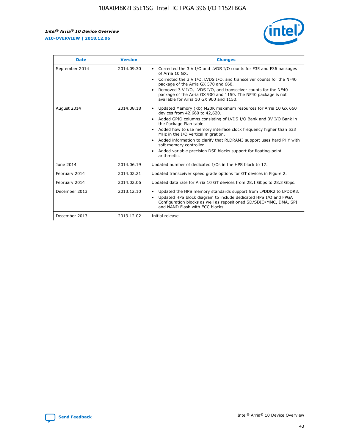r



| <b>Date</b>    | <b>Version</b> | <b>Changes</b>                                                                                                                                                                                                                                                                                                                                                                                                                                                                                                                         |
|----------------|----------------|----------------------------------------------------------------------------------------------------------------------------------------------------------------------------------------------------------------------------------------------------------------------------------------------------------------------------------------------------------------------------------------------------------------------------------------------------------------------------------------------------------------------------------------|
| September 2014 | 2014.09.30     | Corrected the 3 V I/O and LVDS I/O counts for F35 and F36 packages<br>of Arria 10 GX.<br>Corrected the 3 V I/O, LVDS I/O, and transceiver counts for the NF40<br>$\bullet$<br>package of the Arria GX 570 and 660.<br>Removed 3 V I/O, LVDS I/O, and transceiver counts for the NF40<br>package of the Arria GX 900 and 1150. The NF40 package is not<br>available for Arria 10 GX 900 and 1150.                                                                                                                                       |
| August 2014    | 2014.08.18     | Updated Memory (Kb) M20K maximum resources for Arria 10 GX 660<br>devices from 42,660 to 42,620.<br>Added GPIO columns consisting of LVDS I/O Bank and 3V I/O Bank in<br>$\bullet$<br>the Package Plan table.<br>Added how to use memory interface clock frequency higher than 533<br>$\bullet$<br>MHz in the I/O vertical migration.<br>Added information to clarify that RLDRAM3 support uses hard PHY with<br>$\bullet$<br>soft memory controller.<br>Added variable precision DSP blocks support for floating-point<br>arithmetic. |
| June 2014      | 2014.06.19     | Updated number of dedicated I/Os in the HPS block to 17.                                                                                                                                                                                                                                                                                                                                                                                                                                                                               |
| February 2014  | 2014.02.21     | Updated transceiver speed grade options for GT devices in Figure 2.                                                                                                                                                                                                                                                                                                                                                                                                                                                                    |
| February 2014  | 2014.02.06     | Updated data rate for Arria 10 GT devices from 28.1 Gbps to 28.3 Gbps.                                                                                                                                                                                                                                                                                                                                                                                                                                                                 |
| December 2013  | 2013.12.10     | Updated the HPS memory standards support from LPDDR2 to LPDDR3.<br>Updated HPS block diagram to include dedicated HPS I/O and FPGA<br>$\bullet$<br>Configuration blocks as well as repositioned SD/SDIO/MMC, DMA, SPI<br>and NAND Flash with ECC blocks.                                                                                                                                                                                                                                                                               |
| December 2013  | 2013.12.02     | Initial release.                                                                                                                                                                                                                                                                                                                                                                                                                                                                                                                       |